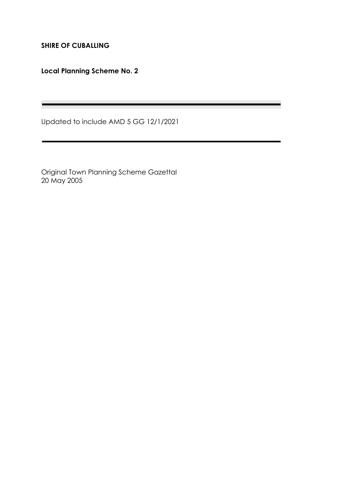**SHIRE OF CUBALLING**

**Local Planning Scheme No. 2**

Updated to include AMD 5 GG 12/1/2021

and the control of the control of the control of the control of the control of

Original Town Planning Scheme Gazettal 20 May 2005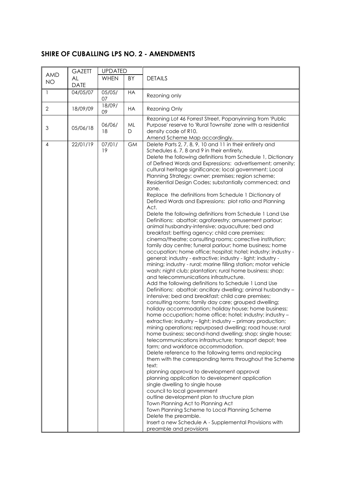# **SHIRE OF CUBALLING LPS NO. 2 - AMENDMENTS**

|                         | <b>GAZETT</b>     | <b>UPDATED</b> |           |                                                                                                                                                                                                                                                                                                                                                                                                                                                                                                                                                                                                                                                                                                                                                                                                                                                                                                                                                                                                                                                                                                                                                                                                                                                                                                                                                                                                                                                                                                                                                                                                                                                                                                                                                                                                                                                                                                                                                                                                                                                                                                                                                                                                                                                                                                                                                                                                                             |  |  |
|-------------------------|-------------------|----------------|-----------|-----------------------------------------------------------------------------------------------------------------------------------------------------------------------------------------------------------------------------------------------------------------------------------------------------------------------------------------------------------------------------------------------------------------------------------------------------------------------------------------------------------------------------------------------------------------------------------------------------------------------------------------------------------------------------------------------------------------------------------------------------------------------------------------------------------------------------------------------------------------------------------------------------------------------------------------------------------------------------------------------------------------------------------------------------------------------------------------------------------------------------------------------------------------------------------------------------------------------------------------------------------------------------------------------------------------------------------------------------------------------------------------------------------------------------------------------------------------------------------------------------------------------------------------------------------------------------------------------------------------------------------------------------------------------------------------------------------------------------------------------------------------------------------------------------------------------------------------------------------------------------------------------------------------------------------------------------------------------------------------------------------------------------------------------------------------------------------------------------------------------------------------------------------------------------------------------------------------------------------------------------------------------------------------------------------------------------------------------------------------------------------------------------------------------------|--|--|
| <b>AMD</b><br><b>NO</b> | AL<br><b>DATE</b> | <b>WHEN</b>    | BY        | <b>DETAILS</b>                                                                                                                                                                                                                                                                                                                                                                                                                                                                                                                                                                                                                                                                                                                                                                                                                                                                                                                                                                                                                                                                                                                                                                                                                                                                                                                                                                                                                                                                                                                                                                                                                                                                                                                                                                                                                                                                                                                                                                                                                                                                                                                                                                                                                                                                                                                                                                                                              |  |  |
| $\mathbf{1}$            | 04/05/07          | 05/05/<br>07   | <b>HA</b> | Rezoning only                                                                                                                                                                                                                                                                                                                                                                                                                                                                                                                                                                                                                                                                                                                                                                                                                                                                                                                                                                                                                                                                                                                                                                                                                                                                                                                                                                                                                                                                                                                                                                                                                                                                                                                                                                                                                                                                                                                                                                                                                                                                                                                                                                                                                                                                                                                                                                                                               |  |  |
| $\overline{2}$          | 18/09/09          | 18/09/<br>09   | HA        | Rezoning Only                                                                                                                                                                                                                                                                                                                                                                                                                                                                                                                                                                                                                                                                                                                                                                                                                                                                                                                                                                                                                                                                                                                                                                                                                                                                                                                                                                                                                                                                                                                                                                                                                                                                                                                                                                                                                                                                                                                                                                                                                                                                                                                                                                                                                                                                                                                                                                                                               |  |  |
| 3                       | 05/06/18          | 06/06/<br>18   | ML<br>D   | Rezoning Lot 46 Forrest Street, Popanyinning from 'Public<br>Purpose' reserve to 'Rural Townsite' zone with a residential<br>density code of R10.<br>Amend Scheme Map accordingly.                                                                                                                                                                                                                                                                                                                                                                                                                                                                                                                                                                                                                                                                                                                                                                                                                                                                                                                                                                                                                                                                                                                                                                                                                                                                                                                                                                                                                                                                                                                                                                                                                                                                                                                                                                                                                                                                                                                                                                                                                                                                                                                                                                                                                                          |  |  |
| 4                       | 22/01/19          | 07/01/<br>19   | <b>GM</b> | Delete Parts 2, 7, 8, 9, 10 and 11 in their entirety and<br>Schedules 6, 7, 8 and 9 in their entirety.<br>Delete the following definitions from Schedule 1, Dictionary<br>of Defined Words and Expressions: advertisement; amenity;<br>cultural heritage significance; local government; Local<br>Planning Strategy; owner; premises; region scheme;<br>Residential Design Codes; substantially commenced; and<br>zone.<br>Replace the definitions from Schedule 1 Dictionary of<br>Defined Words and Expressions: plot ratio and Planning<br>Act.<br>Delete the following definitions from Schedule 1 Land Use<br>Definitions: abattoir; agroforestry; amusement parlour;<br>animal husbandry-intensive; aquaculture; bed and<br>breakfast; betting agency; child care premises;<br>cinema/theatre; consulting rooms; corrective institution;<br>family day centre; funeral parlour; home business; home<br>occupation; home office; hospital; hotel; industry; industry -<br>general; industry - extractive; industry - light; industry -<br>mining; industry - rural; marine filling station; motor vehicle<br>wash; night club; plantation; rural home business; shop;<br>and telecommunications infrastructure.<br>Add the following definitions to Schedule 1 Land Use<br>Definitions: abattoir; ancillary dwelling; animal husbandry -<br>intensive; bed and breakfast; child care premises;<br>consulting rooms; family day care; grouped dwelling;<br>holiday accommodation; holiday house; home business;<br>home occupation; home office; hotel; industry; industry -<br>extractive; industry – light; industry – primary production;<br>mining operations; repurposed dwelling; road house; rural<br>home business; second-hand dwelling; shop; single house;<br>telecommunications infrastructure; transport depot; tree<br>farm; and workforce accommodation.<br>Delete reference to the following terms and replacing<br>them with the corresponding terms throughout the Scheme<br>text:<br>planning approval to development approval<br>planning application to development application<br>single dwelling to single house<br>council to local government<br>outline development plan to structure plan<br>Town Planning Act to Planning Act<br>Town Planning Scheme to Local Planning Scheme<br>Delete the preamble.<br>Insert a new Schedule A - Supplemental Provisions with<br>preamble and provisions |  |  |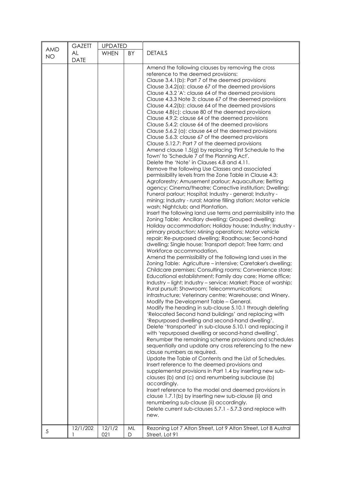| <b>AMD</b> | <b>GAZETT</b>            | <b>UPDATED</b> |    |                                                                                                                                                                                                                                                                                                                                                                                                                                                                                                                                                                                                                                                                                                                                                                                                                                                                                                                                                                                                                                                                                                                                                                                                                                                                                                                                                                                                                                                                                                                                                                                                                                                                                                                                                                                                                                                                                                                                                                                                                                                                                                                                                                                                                                                                                                                                                                                                                                                                                                                                                                                                                                                                                                                                                                                                                                                                                                                                                                                                                                                                                                                                                              |  |  |
|------------|--------------------------|----------------|----|--------------------------------------------------------------------------------------------------------------------------------------------------------------------------------------------------------------------------------------------------------------------------------------------------------------------------------------------------------------------------------------------------------------------------------------------------------------------------------------------------------------------------------------------------------------------------------------------------------------------------------------------------------------------------------------------------------------------------------------------------------------------------------------------------------------------------------------------------------------------------------------------------------------------------------------------------------------------------------------------------------------------------------------------------------------------------------------------------------------------------------------------------------------------------------------------------------------------------------------------------------------------------------------------------------------------------------------------------------------------------------------------------------------------------------------------------------------------------------------------------------------------------------------------------------------------------------------------------------------------------------------------------------------------------------------------------------------------------------------------------------------------------------------------------------------------------------------------------------------------------------------------------------------------------------------------------------------------------------------------------------------------------------------------------------------------------------------------------------------------------------------------------------------------------------------------------------------------------------------------------------------------------------------------------------------------------------------------------------------------------------------------------------------------------------------------------------------------------------------------------------------------------------------------------------------------------------------------------------------------------------------------------------------------------------------------------------------------------------------------------------------------------------------------------------------------------------------------------------------------------------------------------------------------------------------------------------------------------------------------------------------------------------------------------------------------------------------------------------------------------------------------------------------|--|--|
| <b>NO</b>  | <b>AL</b><br><b>DATE</b> | <b>WHEN</b>    | BY | <b>DETAILS</b>                                                                                                                                                                                                                                                                                                                                                                                                                                                                                                                                                                                                                                                                                                                                                                                                                                                                                                                                                                                                                                                                                                                                                                                                                                                                                                                                                                                                                                                                                                                                                                                                                                                                                                                                                                                                                                                                                                                                                                                                                                                                                                                                                                                                                                                                                                                                                                                                                                                                                                                                                                                                                                                                                                                                                                                                                                                                                                                                                                                                                                                                                                                                               |  |  |
|            | 12/1/202                 | 12/1/2         | ML | Amend the following clauses by removing the cross<br>reference to the deemed provisions:<br>Clause 3.4.1(b): Part 7 of the deemed provisions<br>Clause 3.4.2(a): clause 67 of the deemed provisions<br>Clause 4.3.2 'A': clause 64 of the deemed provisions<br>Clause 4.3.3 Note 3: clause 67 of the deemed provisions<br>Clause 4.4.2(b): clause 64 of the deemed provisions<br>Clause 4.8(c): clause 80 of the deemed provisions<br>Clause 4.9.2: clause 64 of the deemed provisions<br>Clause 5.4.2: clause 64 of the deemed provisions<br>Clause 5.6.2 (a): clause 64 of the deemed provisions<br>Clause 5.6.3: clause 67 of the deemed provisions<br>Clause 5.12.7: Part 7 of the deemed provisions<br>Amend clause 1.5(g) by replacing 'First Schedule to the<br>Town' to 'Schedule 7 of the Planning Act'.<br>Delete the 'Note' in Clauses 4.8 and 4.11.<br>Remove the following Use Classes and associated<br>permissibility levels from the Zone Table in Clause 4.3:<br>Agroforestry; Amusement parlour; Aquaculture; Betting<br>agency; Cinema/theatre; Corrective institution; Dwelling;<br>Funeral parlour; Hospital; Industry - general; Industry -<br>mining; Industry - rural; Marine filling station; Motor vehicle<br>wash; Nightclub; and Plantation.<br>Insert the following land use terms and permissibility into the<br>Zoning Table: Ancillary dwelling; Grouped dwelling;<br>Holiday accommodation; Holiday house; Industry; Industry -<br>primary production; Mining operations; Motor vehicle<br>repair; Re-purposed dwelling; Roadhouse; Second-hand<br>dwelling; Single house; Transport depot; Tree farm; and<br>Workforce accommodation.<br>Amend the permissibility of the following land uses in the<br>Zoning Table: Agriculture - intensive; Caretaker's dwelling;<br>Childcare premises; Consulting rooms; Convenience store;<br>Educational establishment; Family day care; Home office;<br>Industry - light; Industry - service; Market; Place of worship;<br>Rural pursuit; Showroom; Telecommunications;<br>infrastructure; Veterinary centre; Warehouse; and Winery.<br>Modify the Development Table - General.<br>Modify the heading in sub-clause 5.10.1 through deleting<br>'Relocated Second hand buildings' and replacing with<br>'Repurposed dwelling and second-hand dwelling'.<br>Delete 'transported' in sub-clause 5.10.1 and replacing it<br>with 'repurposed dwelling or second-hand dwelling'.<br>Renumber the remaining scheme provisions and schedules<br>sequentially and update any cross referencing to the new<br>clause numbers as required.<br>Update the Table of Contents and the List of Schedules.<br>Insert reference to the deemed provisions and<br>supplemental provisions in Part 1.4 by inserting new sub-<br>clauses (b) and (c) and renumbering subclause (b)<br>accordingly.<br>Insert reference to the model and deemed provisions in<br>clause 1.7.1(b) by inserting new sub-clause (ii) and<br>renumbering sub-clause (ii) accordingly.<br>Delete current sub-clauses 5.7.1 - 5.7.3 and replace with<br>new.<br>Rezoning Lot 7 Alton Street, Lot 9 Alton Street, Lot 8 Austral |  |  |
| 5          |                          | 021            | D  | Street, Lot 91                                                                                                                                                                                                                                                                                                                                                                                                                                                                                                                                                                                                                                                                                                                                                                                                                                                                                                                                                                                                                                                                                                                                                                                                                                                                                                                                                                                                                                                                                                                                                                                                                                                                                                                                                                                                                                                                                                                                                                                                                                                                                                                                                                                                                                                                                                                                                                                                                                                                                                                                                                                                                                                                                                                                                                                                                                                                                                                                                                                                                                                                                                                                               |  |  |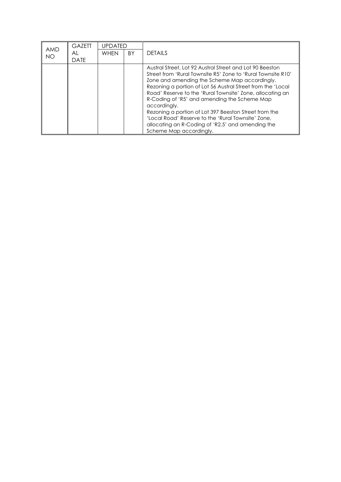|                  | <b>GAZETT</b>     | UPDATED     |           |                                                                                                                                                                                                                                                                                                                                                                                                                                                                                                                                                                      |  |  |  |
|------------------|-------------------|-------------|-----------|----------------------------------------------------------------------------------------------------------------------------------------------------------------------------------------------------------------------------------------------------------------------------------------------------------------------------------------------------------------------------------------------------------------------------------------------------------------------------------------------------------------------------------------------------------------------|--|--|--|
| AMD<br><b>NO</b> | AL<br><b>DATE</b> | <b>WHFN</b> | <b>BY</b> | DETAILS                                                                                                                                                                                                                                                                                                                                                                                                                                                                                                                                                              |  |  |  |
|                  |                   |             |           | Austral Street, Lot 92 Austral Street and Lot 90 Beeston<br>Street from 'Rural Townsite R5' Zone to 'Rural Townsite R10'<br>Zone and amending the Scheme Map accordingly.<br>Rezoning a portion of Lot 56 Austral Street from the 'Local<br>Road' Reserve to the 'Rural Townsite' Zone, allocating an<br>R-Coding of 'R5' and amending the Scheme Map<br>accordingly.<br>Rezoning a portion of Lot 397 Beeston Street from the<br>'Local Road' Reserve to the 'Rural Townsite' Zone.<br>allocating an R-Coding of 'R2.5' and amending the<br>Scheme Map accordingly. |  |  |  |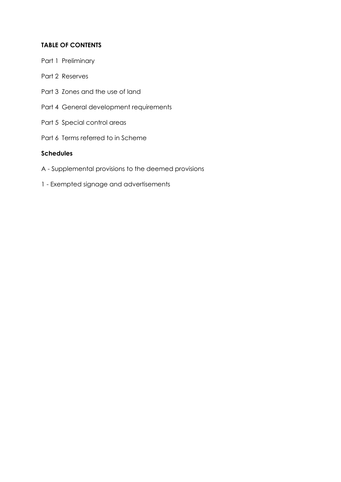# **TABLE OF CONTENTS**

- Part 1 Preliminary
- Part 2 Reserves
- Part 3 Zones and the use of land
- Part 4 General development requirements
- Part 5 Special control areas
- Part 6 Terms referred to in Scheme

## **Schedules**

- A Supplemental provisions to the deemed provisions
- 1 Exempted signage and advertisements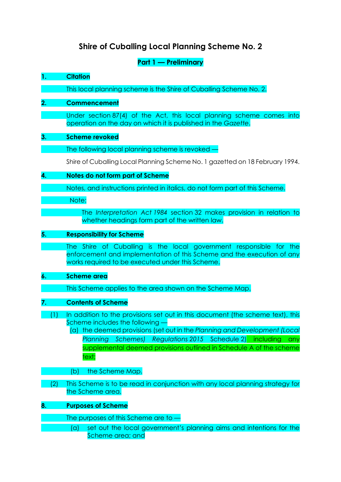# **Shire of Cuballing Local Planning Scheme No. 2**

# **Part 1 — Preliminary**

# **1. Citation**

This local planning scheme is the Shire of Cuballing Scheme No. 2.

# **2. Commencement**

Under section 87(4) of the Act, this local planning scheme comes into operation on the day on which it is published in the *Gazette*.

# **3. Scheme revoked**

The following local planning scheme is revoked —

Shire of Cuballing Local Planning Scheme No. 1 gazetted on 18 February 1994.

# **4. Notes do not form part of Scheme**

Notes, and instructions printed in italics, do not form part of this Scheme.

Note:

The *Interpretation Act 1984* section 32 makes provision in relation to whether headings form part of the written law.

# **5. Responsibility for Scheme**

The Shire of Cuballing is the local government responsible for the enforcement and implementation of this Scheme and the execution of any works required to be executed under this Scheme.

# **6. Scheme area**

This Scheme applies to the area shown on the Scheme Map.

# **7. Contents of Scheme**

- (1) In addition to the provisions set out in this document (the scheme text), this Scheme includes the following —
	- (a) the deemed provisions (set out in the *Planning and Development (Local Planning Schemes) Regulations 2015* Schedule 2) including any supplemental deemed provisions outlined in Schedule A of the scheme text;
	- **Example 20 (b)** the Scheme Map.
- (2) This Scheme is to be read in conjunction with any local planning strategy for the Scheme area.

# **8. Purposes of Scheme**

The purposes of this Scheme are to —

(a) set out the local government's planning aims and intentions for the Scheme area; and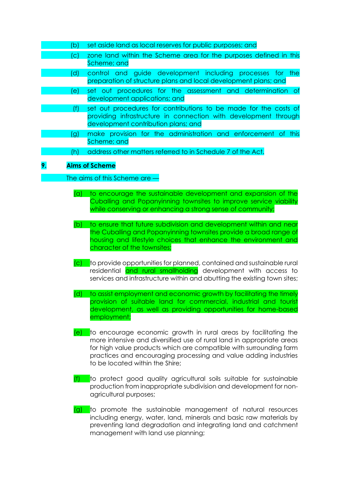|    | (b  | set aside land as local reserves for public purposes; and                                                                                                                  |
|----|-----|----------------------------------------------------------------------------------------------------------------------------------------------------------------------------|
|    | 'C) | zone land within the Scheme area for the purposes defined in this<br>Scheme; and                                                                                           |
|    | (d) | control and guide development including processes for the<br>preparation of structure plans and local development plans; and                                               |
|    | e). | set out procedures for the assessment and determination of<br>development applications; and                                                                                |
|    |     | set out procedures for contributions to be made for the costs of<br>providing infrastructure in connection with development through<br>development contribution plans; and |
|    | (g) | make provision for the administration and enforcement of this<br>Scheme; and                                                                                               |
|    | 'h) | address other matters referred to in Schedule 7 of the Act.                                                                                                                |
| 9. |     | <b>Aims of Scheme</b>                                                                                                                                                      |
|    |     | The aims of this Scheme are $-$                                                                                                                                            |

- (a) to encourage the sustainable development and expansion of the Cuballing and Popanyinning townsites to improve service viability
	- (b) to ensure that future subdivision and development within and near the Cuballing and Popanyinning townsites provide a broad range of housing and lifestyle choices that enhance the environment and character of the townsites;

while conserving or enhancing a strong sense of community;

- (c) to provide opportunities for planned, contained and sustainable rural residential and rural smallholding development with access to services and infrastructure within and abutting the existing town sites;
- (d) to assist employment and economic growth by facilitating the timely provision of suitable land for commercial, industrial and tourist development, as well as providing opportunities for home-based employment;
- $(e)$  to encourage economic growth in rural areas by facilitating the more intensive and diversified use of rural land in appropriate areas for high value products which are compatible with surrounding farm practices and encouraging processing and value adding industries to be located within the Shire;
- $(f)$  to protect good quality agricultural soils suitable for sustainable production from inappropriate subdivision and development for nonagricultural purposes;
- (g) to promote the sustainable management of natural resources including energy, water, land, minerals and basic raw materials by preventing land degradation and integrating land and catchment management with land use planning;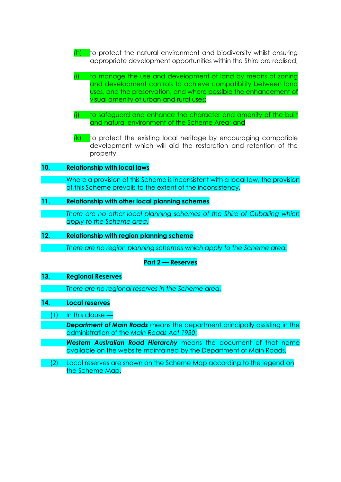- $(h)$  to protect the natural environment and biodiversity whilst ensuring appropriate development opportunities within the Shire are realised;
- (i) to manage the use and development of land by means of zoning and development controls to achieve compatibility between land uses, and the preservation, and where possible the enhancement of visual amenity of urban and rural uses;
- (j) to safeguard and enhance the character and amenity of the built and natural environment of the Scheme Area; and
- $(k)$  to protect the existing local heritage by encouraging compatible development which will aid the restoration and retention of the property.

#### **10. Relationship with local laws**

Where a provision of this Scheme is inconsistent with a local law, the provision of this Scheme prevails to the extent of the inconsistency.

## **11. Relationship with other local planning schemes**

*There are no other local planning schemes of the Shire of Cuballing which apply to the Scheme area.*

#### **12. Relationship with region planning scheme**

*There are no region planning schemes which apply to the Scheme area.*

#### **Part 2 — Reserves**

#### **13. Regional Reserves**

*There are no regional reserves in the Scheme area.*

#### **14. Local reserves**

(1) In this clause —

*Department of Main Roads* means the department principally assisting in the administration of the *Main Roads Act 1930*;

*Western Australian Road Hierarchy* means the document of that name available on the website maintained by the Department of Main Roads.

(2) Local reserves are shown on the Scheme Map according to the legend on the Scheme Map.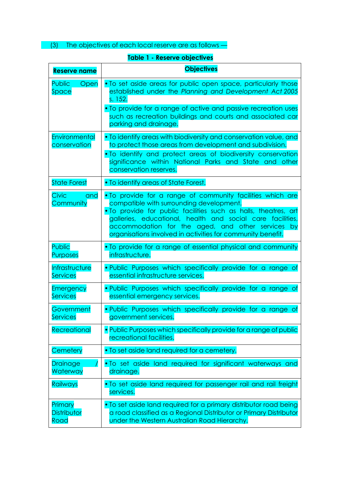(3) The objectives of each local reserve are as follows —

# **Table 1 - Reserve objectives**

| <b>Reserve name</b>       | <b>Objectives</b>                                                                                                                                                                                                                                                                                                                                                |
|---------------------------|------------------------------------------------------------------------------------------------------------------------------------------------------------------------------------------------------------------------------------------------------------------------------------------------------------------------------------------------------------------|
| <b>Public</b>             | . To set aside areas for public open space, particularly those                                                                                                                                                                                                                                                                                                   |
| Open                      | established under the Planning and Development Act 2005                                                                                                                                                                                                                                                                                                          |
| Space                     | s. 152.                                                                                                                                                                                                                                                                                                                                                          |
|                           | • To provide for a range of active and passive recreation uses<br>such as recreation buildings and courts and associated car<br>parking and drainage.                                                                                                                                                                                                            |
| Environmental             | . To identify areas with biodiversity and conservation value, and                                                                                                                                                                                                                                                                                                |
| conservation              | to protect those areas from development and subdivision.                                                                                                                                                                                                                                                                                                         |
|                           | . To identify and protect areas of biodiversity conservation<br>significance within National Parks and State and other<br>conservation reserves.                                                                                                                                                                                                                 |
| <b>State Forest</b>       | . To identify areas of State Forest.                                                                                                                                                                                                                                                                                                                             |
| Civic<br>and<br>Community | . To provide for a range of community facilities which are<br>compatible with surrounding development.<br>. To provide for public facilities such as halls, theatres, art<br>galleries, educational, health and social care facilities,<br>accommodation for the aged, and other services<br>– by<br>organisations involved in activities for community benefit. |
| Public                    | . To provide for a range of essential physical and community                                                                                                                                                                                                                                                                                                     |
| <b>Purposes</b>           | infrastructure.                                                                                                                                                                                                                                                                                                                                                  |
| Infrastructure            | . Public Purposes which specifically provide for a range of                                                                                                                                                                                                                                                                                                      |
| <b>Services</b>           | essential infrastructure services.                                                                                                                                                                                                                                                                                                                               |
| Emergency                 | . Public Purposes which specifically provide for a range of                                                                                                                                                                                                                                                                                                      |
| <b>Services</b>           | essential emergency services.                                                                                                                                                                                                                                                                                                                                    |
| Government                | . Public Purposes which specifically provide for a range of                                                                                                                                                                                                                                                                                                      |
| Services                  | government services.                                                                                                                                                                                                                                                                                                                                             |
| Recreational              | • Public Purposes which specifically provide for a range of public<br>recreational facilities.                                                                                                                                                                                                                                                                   |
| Cemetery                  | • To set aside land required for a cemetery.                                                                                                                                                                                                                                                                                                                     |
| Drainage                  | . To set aside land required for significant waterways and                                                                                                                                                                                                                                                                                                       |
| Waterway                  | drainage.                                                                                                                                                                                                                                                                                                                                                        |
| <b>Railways</b>           | . To set aside land required for passenger rail and rail freight<br>services.                                                                                                                                                                                                                                                                                    |
| Primary                   | • To set aside land required for a primary distributor road being                                                                                                                                                                                                                                                                                                |
| <b>Distributor</b>        | a road classified as a Regional Distributor or Primary Distributor                                                                                                                                                                                                                                                                                               |
| Road                      | under the Western Australian Road Hierarchy.                                                                                                                                                                                                                                                                                                                     |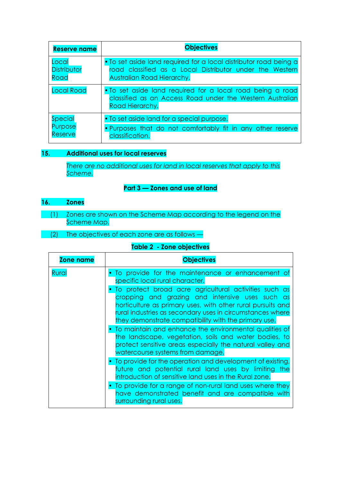| <b>Reserve name</b> | <b>Objectives</b>                                                                                                                          |  |  |  |  |
|---------------------|--------------------------------------------------------------------------------------------------------------------------------------------|--|--|--|--|
| Local               | • To set aside land required for a local distributor road being a                                                                          |  |  |  |  |
| <b>Distributor</b>  | road classified as a Local Distributor under the Western                                                                                   |  |  |  |  |
| Road                | Australian Road Hierarchy.                                                                                                                 |  |  |  |  |
| <b>Local Road</b>   | • To set aside land required for a local road being a road<br>classified as an Access Road under the Western Australian<br>Road Hierarchy. |  |  |  |  |
| <b>Special</b>      | • To set aside land for a special purpose.                                                                                                 |  |  |  |  |
| Purpose             | • Purposes that do not comfortably fit in any other reserve                                                                                |  |  |  |  |
| <b>Reserve</b>      | classification.                                                                                                                            |  |  |  |  |

# **15. Additional uses for local reserves**

*There are no additional uses for land in local reserves that apply to this Scheme.*

## **Part 3 — Zones and use of land**

# **16. Zones**

- (1) Zones are shown on the Scheme Map according to the legend on the Scheme Map.
	- (2) The objectives of each zone are as follows —

# **Table 2 - Zone objectives**

| <b>Zone name</b> | <b>Objectives</b>                                                                                                                                                                                                                                                                            |
|------------------|----------------------------------------------------------------------------------------------------------------------------------------------------------------------------------------------------------------------------------------------------------------------------------------------|
| Rural            | To provide for the maintenance or enhancement of<br>specific local rural character.                                                                                                                                                                                                          |
|                  | To protect broad acre agricultural activities such as<br>cropping and grazing and intensive uses such as<br>horticulture as primary uses, with other rural pursuits and<br>rural industries as secondary uses in circumstances where<br>they demonstrate compatibility with the primary use. |
|                  | • To maintain and enhance the environmental qualities of<br>the landscape, vegetation, soils and water bodies, to<br>protect sensitive areas especially the natural valley and<br>watercourse systems from damage.                                                                           |
|                  | • To provide for the operation and development of existing,<br>future and potential rural land uses by limiting the<br>introduction of sensitive land uses in the Rural zone.                                                                                                                |
|                  | To provide for a range of non-rural land uses where they<br>have demonstrated benefit and are compatible with<br>surrounding rural uses.                                                                                                                                                     |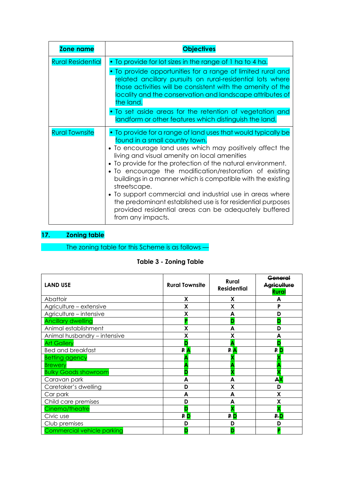| <b>Zone name</b>         | <b>Objectives</b>                                                                                                                                                                                                                                                                                                                                                                                                                                                                                                                                                                                                              |
|--------------------------|--------------------------------------------------------------------------------------------------------------------------------------------------------------------------------------------------------------------------------------------------------------------------------------------------------------------------------------------------------------------------------------------------------------------------------------------------------------------------------------------------------------------------------------------------------------------------------------------------------------------------------|
| <b>Rural Residential</b> | . To provide for lot sizes in the range of 1 ha to 4 ha.<br>• To provide opportunities for a range of limited rural and<br>related ancillary pursuits on rural-residential lots where<br>those activities will be consistent with the amenity of the<br>locality and the conservation and landscape attributes of<br>the land.<br>• To set aside areas for the retention of vegetation and<br>landform or other features which distinguish the land.                                                                                                                                                                           |
| <b>Rural Townsite</b>    | • To provide for a range of land uses that would typically be<br>found in a small country town.<br>• To encourage land uses which may positively affect the<br>living and visual amenity on local amenities<br>• To provide for the protection of the natural environment.<br>• To encourage the modification/restoration of existing<br>buildings in a manner which is compatible with the existing<br>streetscape.<br>• To support commercial and industrial use in areas where<br>the predominant established use is for residential purposes<br>provided residential areas can be adequately buffered<br>from any impacts. |

# **17. Zoning table**

The zoning table for this Scheme is as follows —

|  |  | <b>Table 3 - Zoning Table</b> |  |
|--|--|-------------------------------|--|
|--|--|-------------------------------|--|

| <b>LAND USE</b>              | <b>Rural Townsite</b> | Rural<br><b>Residential</b> | General<br><b>Aariculture</b><br><b>Rural</b> |
|------------------------------|-----------------------|-----------------------------|-----------------------------------------------|
| Abattoir                     | X                     | X                           | А                                             |
| Agriculture - extensive      | X                     | X                           | P                                             |
| Agriculture - intensive      | χ                     | A                           | D                                             |
| <b>Ancillary dwelling</b>    | в                     |                             | D                                             |
| Animal establishment         | X                     | A                           | D                                             |
| Animal husbandry - intensive | χ                     | χ                           | А                                             |
| <b>Art Gallery</b>           |                       |                             | D                                             |
| <b>Bed and breakfast</b>     | PA                    | PA                          | <b>PD</b>                                     |
| <b>Betting agency</b>        |                       |                             |                                               |
| <b>Brewery</b>               |                       |                             |                                               |
| <b>Bulky Goods showroom</b>  |                       |                             |                                               |
| Caravan park                 |                       |                             | AX                                            |
| Caretaker's dwelling         | D                     | Χ                           | D                                             |
| Car park                     | A                     | A                           | X                                             |
| Child care premises          | D                     | A                           | X                                             |
| Cinema/theatre               |                       |                             |                                               |
| Civic use                    | <b>PD</b>             | P D                         | <b>P.D</b>                                    |
| Club premises                | D                     |                             | D                                             |
| Commercial vehicle parking   |                       |                             |                                               |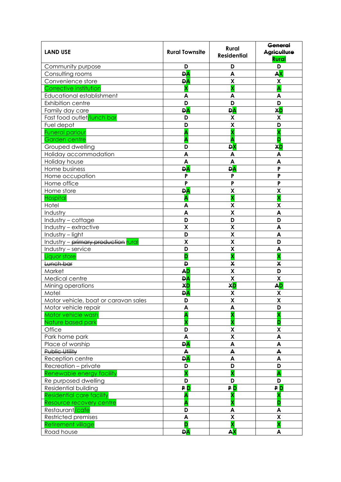| <b>LAND USE</b>                          | <b>Rural Townsite</b>   | <b>Rural</b><br><b>Residential</b> | <del>General</del><br>Agriculture<br><b>Rural</b> |
|------------------------------------------|-------------------------|------------------------------------|---------------------------------------------------|
| Community purpose                        | D                       | D                                  | D                                                 |
| Consulting rooms                         | <b>DA</b>               | A                                  | <b>AX</b>                                         |
| Convenience store                        | <b>DA</b>               | $\pmb{\mathsf{X}}$                 | X                                                 |
| Corrective institution                   | $\overline{\mathbf{x}}$ | $\overline{\textbf{x}}$            | Ā                                                 |
| Educational establishment                | A                       | A                                  | A                                                 |
| Exhibition centre                        | D                       | D                                  | D                                                 |
| Family day care                          | <b>DA</b>               | <b>DA</b>                          | XD                                                |
| Fast food outlet <mark>/lunch bar</mark> | D                       | X                                  | X                                                 |
| Fuel depot                               | D                       | X                                  | D                                                 |
| <b>Funeral parlour</b>                   | A                       | X                                  | $\overline{\textsf{x}}$                           |
| <b>Garden centre</b>                     | A                       | A                                  | D                                                 |
| Grouped dwelling                         | D                       | <b>DX</b>                          | XD                                                |
| Holiday accommodation                    | A                       | A                                  | A                                                 |
| Holiday house                            | A                       | A                                  | A                                                 |
| Home business                            | <b>DA</b>               | <b>DA</b>                          | P                                                 |
| Home occupation                          | P                       | P                                  | P                                                 |
| Home office                              | P                       | P                                  | P                                                 |
| Home store                               | <b>DA</b>               | X                                  | X                                                 |
| <b>Hospital</b>                          | Â                       | $\overline{\textbf{x}}$            | $\overline{\textbf{x}}$                           |
| Hotel                                    | A                       | X                                  | X                                                 |
| Industry                                 | A                       | X                                  | A                                                 |
| Industry - cottage                       | D                       | D                                  | D                                                 |
| Industry - extractive                    | X                       | $\mathsf{X}$                       | A                                                 |
| Industry - light                         | D                       | X                                  | A                                                 |
| Industry - primary production rural      | X                       | X                                  | D                                                 |
| Industry - service                       | D                       | $\pmb{\mathsf{X}}$                 | A                                                 |
| Liquor store                             | D                       | $\overline{\textbf{x}}$            | $\overline{\mathbf{X}}$                           |
| Lunch bar                                | D                       | X                                  | X                                                 |
| Market                                   | <b>AD</b>               | $\boldsymbol{\mathsf{X}}$          | D                                                 |
| Medical centre                           | <b>DA</b>               | $\overline{\mathbf{x}}$            | $\overline{\mathbf{x}}$                           |
| Mining operations                        | XD                      | <b>XD</b>                          | <b>AD</b>                                         |
| Motel                                    | <b>DA</b>               | X                                  | X                                                 |
| Motor vehicle, boat or caravan sales     | D                       | χ                                  | χ                                                 |
| Motor vehicle repair                     | A                       | A                                  | D                                                 |
| Motor vehicle wash                       | A                       | X                                  | X                                                 |
| Nature based park                        | X                       | $\overline{\textbf{x}}$            | D                                                 |
| Office                                   | D                       | X                                  | X                                                 |
| Park home park                           | A                       | $\overline{\mathbf{X}}$            | A                                                 |
| Place of worship                         | <b>DA</b>               | A                                  | $\pmb{\mathsf{A}}$                                |
| Public Utility                           | A                       | A                                  | $\blacktriangle$                                  |
| Reception centre                         | <b>DA</b>               | A                                  | A                                                 |
| Recreation - private                     | D                       | D                                  | D                                                 |
| Renewable energy facility                | $\overline{\textbf{x}}$ | $\overline{\mathbf{X}}$            | Â                                                 |
| Re purposed dwelling                     | D                       | D                                  | D                                                 |
| Residential building                     | <b>PD</b>               | <b>PD</b>                          | <b>PD</b>                                         |
| <b>Residential care facility</b>         | Α                       |                                    | χ                                                 |
| Resource recovery centre                 | A                       | X                                  | D                                                 |
| Restaurant/cafe                          | D                       | A                                  | A                                                 |
| Restricted premises                      | A                       | $\pmb{\mathsf{X}}$                 | $\pmb{\mathsf{X}}$                                |
| <b>Retirement village</b>                | D                       | $\overline{\textbf{X}}$            | $\overline{\textbf{x}}$                           |
| Road house                               | <b>DA</b>               | AX                                 | A                                                 |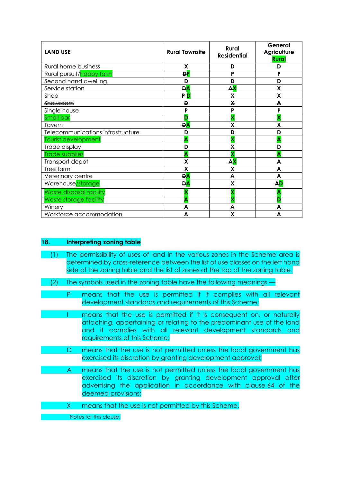| <b>LAND USE</b>                   | <b>Rural Townsite</b> | <b>Rural</b><br><b>Residential</b> | <b>Anaral</b><br>aricultur<br>Rural |
|-----------------------------------|-----------------------|------------------------------------|-------------------------------------|
| <b>Rural home business</b>        | X                     | D                                  | D                                   |
| Rural pursuit/hobby farm          | <b>DP</b>             | P                                  | P                                   |
| Second hand dwelling              | D                     | D                                  | D                                   |
| Service station                   | <b>DA</b>             | ${\bf AX}$                         | X                                   |
| Shop                              | ₽D                    | X                                  | X                                   |
| <del>Showroom</del>               | D                     | X                                  | A                                   |
| Single house                      | P                     | P                                  | P                                   |
| <b>Small bar</b>                  |                       | x                                  |                                     |
| Tavern                            | <b>DA</b>             | Χ                                  | X                                   |
| Telecommunications infrastructure | D                     | D                                  | D                                   |
| <b>Tourist development</b>        |                       |                                    |                                     |
| Trade display                     | D                     | χ                                  | D                                   |
| <b>Trade supplies</b>             |                       |                                    |                                     |
| Transport depot                   | χ                     | А <mark>Х</mark>                   | A                                   |
| Tree farm                         | X                     | X                                  | A                                   |
| Veterinary centre                 | <b>DA</b>             | A                                  | A                                   |
| Warehouse/storage                 | <b>DA</b>             | X                                  | <b>AD</b>                           |
| Waste disposal facility           |                       |                                    |                                     |
| Waste storage facility            |                       | v                                  | D                                   |
| Winery                            | A                     | A                                  | A                                   |
| Workforce accommodation           | A                     | X                                  | A                                   |

### **18. Interpreting zoning table**

- (1) The permissibility of uses of land in the various zones in the Scheme area is determined by cross-reference between the list of use classes on the left hand side of the zoning table and the list of zones at the top of the zoning table.
- (2) The symbols used in the zoning table have the following meanings —

P means that the use is permitted if it complies with all relevant development standards and requirements of this Scheme;

- I means that the use is permitted if it is consequent on, or naturally attaching, appertaining or relating to the predominant use of the land and it complies with all relevant development standards and requirements of this Scheme;
	- D means that the use is not permitted unless the local government has exercised its discretion by granting development approval;

A means that the use is not permitted unless the local government has exercised its discretion by granting development approval after advertising the application in accordance with clause 64 of the deemed provisions;

X means that the use is not permitted by this Scheme.

Notes for this clause: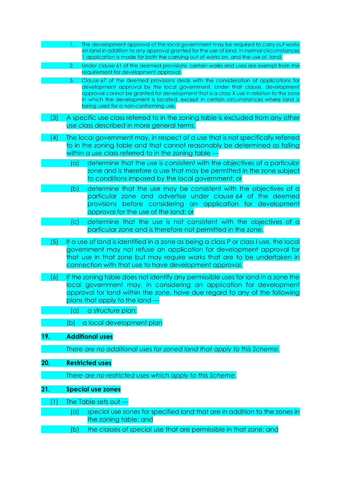|     | The development approval of the local government may be required to carry out works<br>on land in addition to any approval granted for the use of land. In normal circumstances<br>I application is made for both the carrying out of works on, and the use of, land.                                                                                                                               |
|-----|-----------------------------------------------------------------------------------------------------------------------------------------------------------------------------------------------------------------------------------------------------------------------------------------------------------------------------------------------------------------------------------------------------|
|     | Under clause 61 of the deemed provisions, certain works and uses are exempt from the<br>2.<br>requirement for development approval.                                                                                                                                                                                                                                                                 |
|     | Clause 67 of the deemed provisions deals with the consideration of applications for<br>3.<br>development approval by the local government. Under that clause, development<br>approval cannot be granted for development that is a class X use in relation to the zone<br>in which the development is located, except in certain circumstances where land is<br>being used for a non-conforming use. |
| (3) | A specific use class referred to in the zoning table is excluded from any other<br>use class described in more general terms.                                                                                                                                                                                                                                                                       |
| (4) | The local government may, in respect of a use that is not specifically referred<br>to in the zoning table and that cannot reasonably be determined as falling<br>within a use class referred to in the zoning table                                                                                                                                                                                 |
|     | determine that the use is consistent with the objectives of a particular<br>(a)<br>zone and is therefore a use that may be permitted in the zone subject<br>to conditions imposed by the local government; or                                                                                                                                                                                       |
|     | determine that the use may be consistent with the objectives of a<br>(b)<br>particular zone and advertise under clause 64 of the deemed<br>provisions before considering an application for development<br>approval for the use of the land; or                                                                                                                                                     |
|     | determine that the use is not consistent with the objectives of a<br>$\mathcal{L}(\mathsf{C})$                                                                                                                                                                                                                                                                                                      |
|     | particular zone and is therefore not permitted in the zone.                                                                                                                                                                                                                                                                                                                                         |
| (5) | If a use of land is identified in a zone as being a class P or class I use, the local<br>government may not refuse an application for development approval for<br>that use in that zone but may require works that are to be undertaken in<br>connection with that use to have development approval.                                                                                                |
| (6) | If the zoning table does not identify any permissible uses for land in a zone the<br>local government may, in considering an application for development<br>approval for land within the zone, have due regard to any of the following<br>plans that apply to the land -<br>a structure plan;<br>(a)                                                                                                |
|     | a local development plan<br>(b)                                                                                                                                                                                                                                                                                                                                                                     |
|     |                                                                                                                                                                                                                                                                                                                                                                                                     |
| 19. | <b>Additional uses</b>                                                                                                                                                                                                                                                                                                                                                                              |
|     | There are no additional uses for zoned land that apply to this Scheme.                                                                                                                                                                                                                                                                                                                              |
| 20. | <b>Restricted uses</b>                                                                                                                                                                                                                                                                                                                                                                              |
|     | There are no restricted uses which apply to this Scheme.                                                                                                                                                                                                                                                                                                                                            |
| 21. | <b>Special use zones</b>                                                                                                                                                                                                                                                                                                                                                                            |
| (1) | The Table sets out<br>special use zones for specified land that are in addition to the zones in<br>(a)                                                                                                                                                                                                                                                                                              |
|     | the zoning table; and                                                                                                                                                                                                                                                                                                                                                                               |
|     | the classes of special use that are permissible in that zone; and<br>(b)                                                                                                                                                                                                                                                                                                                            |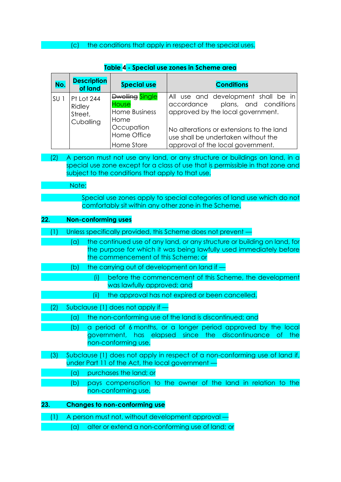## (c) the conditions that apply in respect of the special uses.

| No.             | <b>Description</b><br>of land                | <b>Special use</b>                                              | <b>Conditions</b>                                                                                                    |
|-----------------|----------------------------------------------|-----------------------------------------------------------------|----------------------------------------------------------------------------------------------------------------------|
| SU <sub>1</sub> | Pt Lot 244<br>Ridley<br>Street,<br>Cuballing | Dwelling Single<br><b>House</b><br><b>Home Business</b><br>Home | All use and development shall be in<br>accordance plans, and conditions<br>approved by the local government.         |
|                 |                                              | Occupation<br>Home Office<br>Home Store                         | No alterations or extensions to the land<br>use shall be undertaken without the<br>approval of the local government. |

### **Table 4 - Special use zones in Scheme area**

(2) A person must not use any land, or any structure or buildings on land, in a special use zone except for a class of use that is permissible in that zone and subject to the conditions that apply to that use.

#### Note:

Special use zones apply to special categories of land use which do not comfortably sit within any other zone in the Scheme.

#### **22. Non-conforming uses**

- (1) Unless specifically provided, this Scheme does not prevent
	- (a) the continued use of any land, or any structure or building on land, for the purpose for which it was being lawfully used immediately before the commencement of this Scheme; or
	- (b) the carrying out of development on land if
		- (i) before the commencement of this Scheme, the development was lawfully approved; and
		- (ii) the approval has not expired or been cancelled.
- (2) Subclause (1) does not apply if
	- (a) the non-conforming use of the land is discontinued; and
		- (b) a period of 6 months, or a longer period approved by the local government, has elapsed since the discontinuance of the non-conforming use.
- (3) Subclause (1) does not apply in respect of a non-conforming use of land if, under Part 11 of the Act, the local government —
	- (a) purchases the land; or
		- (b) pays compensation to the owner of the land in relation to the non-conforming use.

# **23. Changes to non-conforming use**

(1) A person must not, without development approval —

(a) alter or extend a non-conforming use of land; or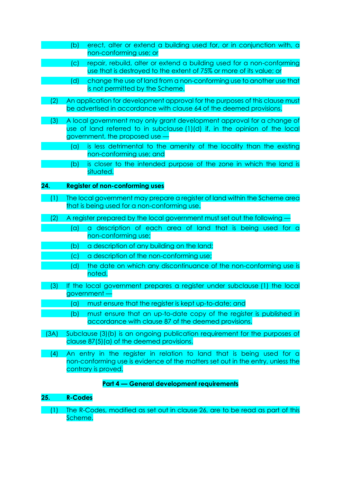- (b) erect, alter or extend a building used for, or in conjunction with, a non-conforming use; or (c) repair, rebuild, alter or extend a building used for a non-conforming use that is destroyed to the extent of 75% or more of its value; or (d) change the use of land from a non-conforming use to another use that is not permitted by the Scheme. (2) An application for development approval for the purposes of this clause must be advertised in accordance with clause 64 of the deemed provisions. (3) A local government may only grant development approval for a change of use of land referred to in subclause (1)(d) if, in the opinion of the local government, the proposed use — (a) is less detrimental to the amenity of the locality than the existing non-conforming use; and (b) is closer to the intended purpose of the zone in which the land is situated. **24. Register of non-conforming uses** (1) The local government may prepare a register of land within the Scheme area that is being used for a non-conforming use. (2) A register prepared by the local government must set out the following  $\cdot$ (a) a description of each area of land that is being used for a non-conforming use; (b) a description of any building on the land; (c) a description of the non-conforming use; (d) the date on which any discontinuance of the non-conforming use is noted. (3) If the local government prepares a register under subclause (1) the local government — (a) must ensure that the register is kept up-to-date; and (b) must ensure that an up-to-date copy of the register is published in accordance with clause 87 of the deemed provisions. (3A) Subclause (3)(b) is an ongoing publication requirement for the purposes of clause 87(5)(a) of the deemed provisions. (4) An entry in the register in relation to land that is being used for a non-conforming use is evidence of the matters set out in the entry, unless the contrary is proved. **Part 4 — General development requirements 25. R-Codes**
	- (1) The R-Codes, modified as set out in clause 26, are to be read as part of this Scheme.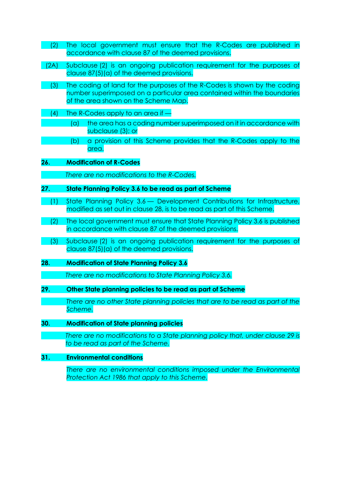- (2) The local government must ensure that the R-Codes are published in accordance with clause 87 of the deemed provisions.
- (2A) Subclause (2) is an ongoing publication requirement for the purposes of clause 87(5)(a) of the deemed provisions.
- (3) The coding of land for the purposes of the R-Codes is shown by the coding number superimposed on a particular area contained within the boundaries of the area shown on the Scheme Map.
- (4) The R-Codes apply to an area if
	- (a) the area has a coding number superimposed on it in accordance with subclause (3); or
	- (b) a provision of this Scheme provides that the R-Codes apply to the area.
- **26. Modification of R-Codes** 
	- *There are no modifications to the R-Codes.*
- **27. State Planning Policy 3.6 to be read as part of Scheme**
- (1) State Planning Policy 3.6 Development Contributions for Infrastructure, modified as set out in clause 28, is to be read as part of this Scheme.
- (2) The local government must ensure that State Planning Policy 3.6 is published in accordance with clause 87 of the deemed provisions.
- (3) Subclause (2) is an ongoing publication requirement for the purposes of clause 87(5)(a) of the deemed provisions.
- **28. Modification of State Planning Policy 3.6**

*There are no modifications to State Planning Policy 3.6.*

- **29. Other State planning policies to be read as part of Scheme**
	- *There are no other State planning policies that are to be read as part of the Scheme.*
- **30. Modification of State planning policies** 
	- *There are no modifications to a State planning policy that, under clause 29 is to be read as part of the Scheme.*
- **31. Environmental conditions**

*There are no environmental conditions imposed under the Environmental Protection Act 1986 that apply to this Scheme.*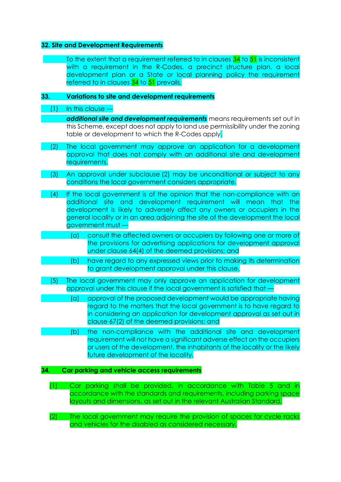#### **32. Site and Development Requirements**

To the extent that a requirement referred to in clauses 34 to 51 is inconsistent with a requirement in the R-Codes, a precinct structure plan, a local development plan or a State or local planning policy the requirement referred to in clauses 34 to 51 prevails.

#### **33. Variations to site and development requirements**

- (1) In this clause
	- *additional site and development requirements* means requirements set out in this Scheme, except does not apply to land use permissibility under the zoning table or development to which the R-Codes apply.
- (2) The local government may approve an application for a development approval that does not comply with an additional site and development requirements.
- (3) An approval under subclause (2) may be unconditional or subject to any conditions the local government considers appropriate.
- (4) If the local government is of the opinion that the non-compliance with an additional site and development requirement will mean that the development is likely to adversely affect any owners or occupiers in the general locality or in an area adjoining the site of the development the local government must —
	- (a) consult the affected owners or occupiers by following one or more of the provisions for advertising applications for development approval under clause 64(4) of the deemed provisions; and
- (b) have regard to any expressed views prior to making its determination to grant development approval under this clause.
- (5) The local government may only approve an application for development approval under this clause if the local government is satisfied that —
	- (a) approval of the proposed development would be appropriate having regard to the matters that the local government is to have regard to in considering an application for development approval as set out in clause 67(2) of the deemed provisions; and
	- (b) the non-compliance with the additional site and development requirement will not have a significant adverse effect on the occupiers or users of the development, the inhabitants of the locality or the likely future development of the locality.

#### **34. Car parking and vehicle access requirements**

- (1) Car parking shall be provided, in accordance with Table 5 and in accordance with the standards and requirements, including parking space layouts and dimensions, as set out in the relevant Australian Standard.
- (2) The local government may require the provision of spaces for cycle racks and vehicles for the disabled as considered necessary.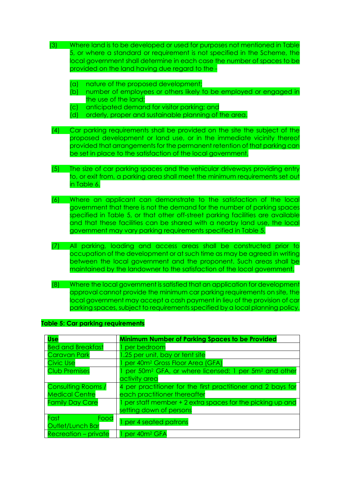| (3)<br>Where land is to be developed or used for purposes not mentioned in Table<br>5, or where a standard or requirement is not specified in the Scheme, the<br>local government shall determine in each case the number of spaces to be<br>provided on the land having due regard to the.<br>nature of the proposed development;<br>(a)                                                |
|------------------------------------------------------------------------------------------------------------------------------------------------------------------------------------------------------------------------------------------------------------------------------------------------------------------------------------------------------------------------------------------|
| (b)<br>number of employees or others likely to be employed or engaged in<br>the use of the land;<br>(c)<br>anticipated demand for visitor parking; and<br>(d)<br>orderly, proper and sustainable planning of the area.                                                                                                                                                                   |
| Car parking requirements shall be provided on the site the subject of the<br>(4)<br>proposed development or land use, or in the immediate vicinity thereof<br>provided that arrangements for the permanent retention of that parking can<br>be set in place to the satisfaction of the local government.                                                                                 |
| (5)<br>The size of car parking spaces and the vehicular driveways providing entry<br>to, or exit from, a parking area shall meet the minimum requirements set out<br>in Table 6.                                                                                                                                                                                                         |
| (6)<br>Where an applicant can demonstrate to the satisfaction of the local<br>government that there is not the demand for the number of parking spaces<br>specified in Table 5, or that other off-street parking facilities are available<br>and that these facilities can be shared with a nearby land use, the local<br>government may vary parking requirements specified in Table 5. |
| All parking, loading and access areas shall be constructed prior to<br>(7)<br>occupation of the development or at such time as may be agreed in writing<br>between the local government and the proponent. Such areas shall be<br>maintained by the landowner to the satisfaction of the local government.                                                                               |
| Where the local government is satisfied that an application for development<br>(8)<br>approval cannot provide the minimum car parking requirements on site, the<br>local government may accept a cash payment in lieu of the provision of car<br>parking spaces, subject to requirements specified by a local planning policy.                                                           |
| <b>Table 5: Car parking requirements</b>                                                                                                                                                                                                                                                                                                                                                 |
| <b>Minimum Number of Parking Spaces to be Provided</b><br><b>Use</b><br><b>Bed and Breakfast</b><br>per bedroom                                                                                                                                                                                                                                                                          |

| <b>Bed and Breakfast</b>         | per bedroom                                                                  |
|----------------------------------|------------------------------------------------------------------------------|
| <b>Caravan Park</b>              | 1.25 per unit, bay or tent site                                              |
| <b>Civic Use</b>                 | per 40m <sup>2</sup> Gross Floor Area (GFA)                                  |
| <b>Club Premises</b>             | per 50m <sup>2</sup> GFA, or where licensed: 1 per 5m <sup>2</sup> and other |
|                                  | activity area                                                                |
| <b>Consulting Rooms /</b>        | 4 per practitioner for the first practitioner and 2 bays for                 |
| <b>Medical Centre</b>            | each practitioner thereafter                                                 |
| <b>Family Day Care</b>           | per staff member + 2 extra spaces for the picking up and                     |
|                                  | setting down of persons                                                      |
| Fast<br>Food<br>Outlet/Lunch Bar | per 4 seated patrons                                                         |
| <b>Recreation - private</b>      | per 40m <sup>2</sup> GFA                                                     |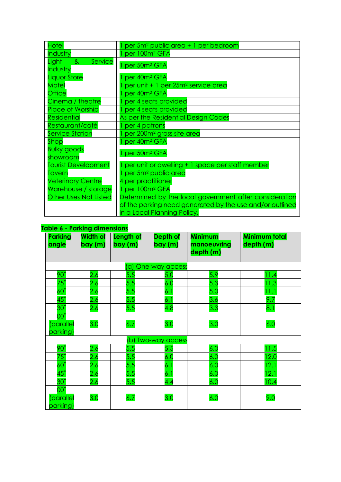| <b>Hotel</b>                    | per 5m <sup>2</sup> public area + 1 per bedroom          |
|---------------------------------|----------------------------------------------------------|
| Industry                        | per 100m <sup>2</sup> GFA                                |
| <b>Service</b><br>Light<br>୍ଥ ଧ | per 50m <sup>2</sup> GFA                                 |
| Industry                        |                                                          |
| <b>Liquor Store</b>             | per 40m <sup>2</sup> GFA                                 |
| Motel                           | per unit + 1 per 25m <sup>2</sup> service area           |
| <b>Office</b>                   | per 40m <sup>2</sup> GFA                                 |
| Cinema / theatre                | per 4 seats provided                                     |
| <b>Place of Worship</b>         | per 4 seats provided                                     |
| <b>Residential</b>              | As per the Residential Design Codes                      |
| Restaurant/café                 | per 4 patrons                                            |
| <b>Service Station</b>          | per 200m <sup>2</sup> gross site area                    |
| Shop                            | per 40m <sup>2</sup> GFA                                 |
| <b>Bulky goods</b>              | per 50m <sup>2</sup> GFA                                 |
| showroom                        |                                                          |
| <b>Tourist Development</b>      | per unit or dwelling + 1 space per staff member          |
| Tavern                          | per 5m <sup>2</sup> public area                          |
| <b>Veterinary Centre</b>        | 4 per practitioner                                       |
| Warehouse / storage             | per 100m <sup>2</sup> GFA                                |
| <b>Other Uses Not Listed</b>    | Determined by the local government after consideration   |
|                                 | of the parking need generated by the use and/or outlined |
|                                 | in a Local Planning Policy.                              |

# **Table 6 - Parking dimensions**

| <b>Parking</b><br>angle                      | <u>abio v ramang amnonsismo</u><br><b>Width of</b><br>bay(m) | Length of<br>bay(m) | Depth of<br>bay (m)   | <b>Minimum</b><br>manoeuvring<br>depth (m) | Minimum total<br>depth (m) |
|----------------------------------------------|--------------------------------------------------------------|---------------------|-----------------------|--------------------------------------------|----------------------------|
|                                              |                                                              |                     | (a) One-way access    |                                            |                            |
| $90^\circ$                                   | 2.6                                                          | 5.5                 | 5.0                   | 5.9                                        | $\blacksquare$ .4          |
| $75^\circ$                                   | 2.6                                                          | 5.5                 | 6.0                   | 5.3                                        | 1.3                        |
| $60^\circ$                                   | <u>2.6</u>                                                   | 5.5                 | 6.1                   | 5.0                                        | 11.1                       |
| $45^\circ$                                   | 2.6                                                          | 5.5                 | 6.1                   | 3.6                                        | 9.7                        |
| $30^\circ$                                   | 2.6                                                          | 5.5                 | 4.8                   | 3.3                                        | 8.1                        |
| $00^{\circ}$<br>(parallel<br>parking)        | 3.0                                                          | 6.7                 | 3.0                   | 3.0                                        | 6.0                        |
|                                              |                                                              | (b)                 | <b>Two-way access</b> |                                            |                            |
| $90^\circ$                                   | 2.6                                                          | 5.5                 | 5.5                   | 6.0                                        | 11.5                       |
| $75^\circ$                                   | 2.6                                                          | 5.5                 | 6.0                   | 6.0                                        | 12.0                       |
| $60^\circ$                                   | 2.6                                                          | 5.5                 | 6.1                   | 6.0                                        | 12.1                       |
| $45^\circ$                                   | 2.6                                                          | 5.5                 | 6.1                   | 6.0                                        | 12.1                       |
| $30^\circ$                                   | 2.6                                                          | 5.5                 | 4.4                   | 6.0                                        | 10.4                       |
| $00^{\circ}$<br><i>(parallel</i><br>parking) | 3.0                                                          | 6.7                 | 3.0                   | 6.0                                        | 9.0                        |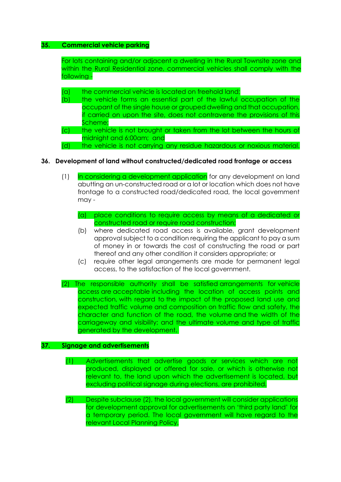#### **35. Commercial vehicle parking**

For lots containing and/or adjacent a dwelling in the Rural Townsite zone and within the Rural Residential zone, commercial vehicles shall comply with the following -

- (a) the commercial vehicle is located on freehold land;
- (b) the vehicle forms an essential part of the lawful occupation of the occupant of the single house or grouped dwelling and that occupation, if carried on upon the site, does not contravene the provisions of this Scheme;
- (c) the vehicle is not brought or taken from the lot between the hours of midnight and 6:00am; and
- (d) the vehicle is not carrying any residue hazardous or noxious material.

#### **36. Development of land without constructed/dedicated road frontage or access**

- (1) In considering a development application for any development on land abutting an un-constructed road or a lot or location which does not have frontage to a constructed road/dedicated road, the local government may -
	- (a) place conditions to require access by means of a dedicated or constructed road or require road construction;
	- (b) where dedicated road access is available, grant development approval subject to a condition requiring the applicant to pay a sum of money in or towards the cost of constructing the road or part thereof and any other condition it considers appropriate; or
	- (c) require other legal arrangements are made for permanent legal access, to the satisfaction of the local government.
- (2) The responsible authority shall be satisfied arrangements for vehicle access are acceptable including the location of access points and construction, with regard to the impact of the proposed land use and expected traffic volume and composition on traffic flow and safety, the character and function of the road, the volume and the width of the carriageway and visibility; and the ultimate volume and type of traffic generated by the development.

#### **37. Signage and advertisements**

- (1) Advertisements that advertise goods or services which are not produced, displayed or offered for sale, or which is otherwise not relevant to, the land upon which the advertisement is located, but excluding political signage during elections, are prohibited.
- (2) Despite subclause (2), the local government will consider applications for development approval for advertisements on 'third party land' for a temporary period. The local government will have regard to the relevant Local Planning Policy.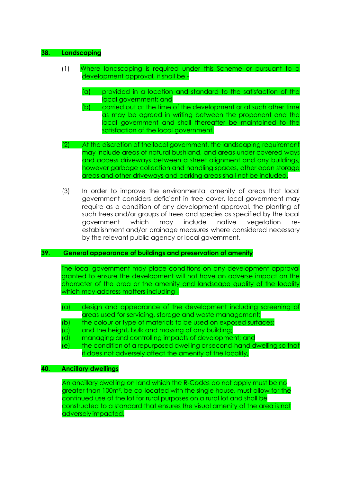#### **38. Landscaping**

- (1) Where landscaping is required under this Scheme or pursuant to a development approval, it shall be -
	- (a) provided in a location and standard to the satisfaction of the local government; and
	- (b) carried out at the time of the development or at such other time as may be agreed in writing between the proponent and the local government and shall thereafter be maintained to the satisfaction of the local government.
- (2) At the discretion of the local government, the landscaping requirement may include areas of natural bushland, and areas under covered ways and access driveways between a street alignment and any buildings, however garbage collection and handling spaces, other open storage areas and other driveways and parking areas shall not be included.
- (3) In order to improve the environmental amenity of areas that local government considers deficient in tree cover, local government may require as a condition of any development approval, the planting of such trees and/or groups of trees and species as specified by the local government which may include native vegetation reestablishment and/or drainage measures where considered necessary by the relevant public agency or local government.

#### **39. General appearance of buildings and preservation of amenity**

The local government may place conditions on any development approval granted to ensure the development will not have an adverse impact on the character of the area or the amenity and landscape quality of the locality which may address matters including -

- (a) design and appearance of the development including screening of areas used for servicing, storage and waste management;
- (b) the colour or type of materials to be used on exposed surfaces;
- (c) and the height, bulk and massing of any building;
- (d) managing and controlling impacts of development; and
- (e) the condition of a repurposed dwelling or second-hand dwelling so that it does not adversely affect the amenity of the locality,

#### **40. Ancillary dwellings**

An ancillary dwelling on land which the R-Codes do not apply must be no greater than 100m², be co-located with the single house, must allow for the continued use of the lot for rural purposes on a rural lot and shall be constructed to a standard that ensures the visual amenity of the area is not adversely impacted.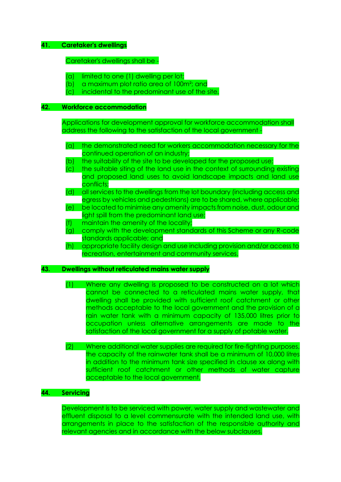#### **41. Caretaker's dwellings**

Caretaker's dwellings shall be -

- (a) limited to one (1) dwelling per lot;
- (b) a maximum plot ratio area of 100m²; and
- (c) incidental to the predominant use of the site.

#### **42. Workforce accommodation**

Applications for development approval for workforce accommodation shall address the following to the satisfaction of the local government -

- (a) the demonstrated need for workers accommodation necessary for the continued operation of an industry;
- (b) the suitability of the site to be developed for the proposed use;
- (c) the suitable siting of the land use in the context of surrounding existing and proposed land uses to avoid landscape impacts and land use conflicts;
- (d) all services to the dwellings from the lot boundary (including access and egress by vehicles and pedestrians) are to be shared, where applicable; (e) be located to minimise any amenity impacts from noise, dust, odour and
- light spill from the predominant land use;
- (f) maintain the amenity of the locality;
- (g) comply with the development standards of this Scheme or any R-code standards applicable; and
- (h) appropriate facility design and use including provision and/or access to recreation, entertainment and community services.

#### **43. Dwellings without reticulated mains water supply**

- (1) Where any dwelling is proposed to be constructed on a lot which cannot be connected to a reticulated mains water supply, that dwelling shall be provided with sufficient roof catchment or other methods acceptable to the local government and the provision of a rain water tank with a minimum capacity of 135,000 litres prior to occupation unless alternative arrangements are made to the satisfaction of the local government for a supply of potable water.
- (2) Where additional water supplies are required for fire-fighting purposes, the capacity of the rainwater tank shall be a minimum of 10,000 litres in addition to the minimum tank size specified in clause xx along with sufficient roof catchment or other methods of water capture acceptable to the local government.

#### **44. Servicing**

Development is to be serviced with power, water supply and wastewater and effluent disposal to a level commensurate with the intended land use, with arrangements in place to the satisfaction of the responsible authority and relevant agencies and in accordance with the below subclauses.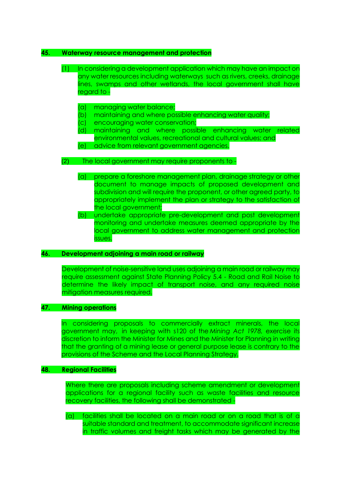#### **45. Waterway resource management and protection**

#### (1) In considering a development application which may have an impact on any water resources including waterways such as rivers, creeks, drainage lines, swamps and other wetlands, the local government shall have regard to -

- (a) managing water balance;
- (b) maintaining and where possible enhancing water quality;
- (c) encouraging water conservation;
- (d) maintaining and where possible enhancing water related environmental values, recreational and cultural values; and
- (e) advice from relevant government agencies.

#### (2) The local government may require proponents to -

- (a) prepare a foreshore management plan, drainage strategy or other document to manage impacts of proposed development and subdivision and will require the proponent, or other agreed party, to appropriately implement the plan or strategy to the satisfaction of the local government;
- (b) undertake appropriate pre-development and post development monitoring and undertake measures deemed appropriate by the local government to address water management and protection issues.

#### **46. Development adjoining a main road or railway**

Development of noise-sensitive land uses adjoining a main road or railway may require assessment against State Planning Policy 5.4 - Road and Rail Noise to determine the likely impact of transport noise, and any required noise mitigation measures required.

#### **47. Mining operations**

In considering proposals to commercially extract minerals, the local government may, in keeping with s120 of the *Mining Act 1978,* exercise its discretion to inform the Minister for Mines and the Minister for Planning in writing that the granting of a mining lease or general purpose lease is contrary to the provisions of the Scheme and the Local Planning Strategy.

#### **48. Regional Facilities**

Where there are proposals including scheme amendment or development applications for a regional facility such as waste facilities and resource recovery facilities, the following shall be demonstrated -

(a) facilities shall be located on a main road or on a road that is of a suitable standard and treatment, to accommodate significant increase in traffic volumes and freight tasks which may be generated by the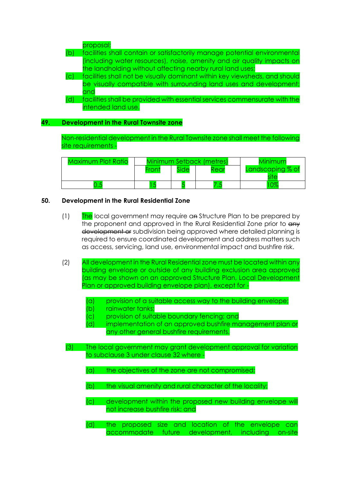|                | proposal;                                                                  |
|----------------|----------------------------------------------------------------------------|
| (b)            | facilities shall contain or satisfactorily manage potential environmental  |
|                | (including water resources), noise, amenity and air quality impacts on     |
|                | the landholding without affecting nearby rural land uses;                  |
| $\overline{C}$ | facilities shall not be visually dominant within key viewsheds, and should |
|                | be visually compatible with surrounding land uses and development;         |
|                | and                                                                        |
| (d)            | facilities shall be provided with essential services commensurate with the |
|                | intended land use.                                                         |

## **49. Development in the Rural Townsite zone**

Non-residential development in the Rural Townsite zone shall meet the following site requirements -

| Maximum Plot Ratio | <b>Minimum Setback (metres)</b> |                   | Minimum |                  |
|--------------------|---------------------------------|-------------------|---------|------------------|
|                    | Front                           | fide <sup>-</sup> | Rear    | Landscaping % of |
|                    |                                 |                   | $\sim$  | റൗ               |

#### **50. Development in the Rural Residential Zone**

- (1) The local government may require an Structure Plan to be prepared by the proponent and approved in the Rural Residential Zone prior to  $\frac{d}{dx}$ development of subdivision being approved where detailed planning is required to ensure coordinated development and address matters such as access, servicing, land use, environmental impact and bushfire risk.
- (2) All development in the Rural Residential zone must be located within any building envelope or outside of any building exclusion area approved (as may be shown on an approved Structure Plan, Local Development Plan or approved building envelope plan), except for -
	- (a) provision of a suitable access way to the building envelope;
	- (b) rainwater tanks;
	- (c) provision of suitable boundary fencing; and
	- (d) implementation of an approved bushfire management plan or any other general bushfire requirements.
	- (3) The local government may grant development approval for variation to subclause 3 under clause 32 where -
		- (a) the objectives of the zone are not compromised;
		- (b) the visual amenity and rural character of the locality;
		- (c) development within the proposed new building envelope will not increase bushfire risk; and
		- (d) the proposed size and location of the envelope can accommodate future development, including on-site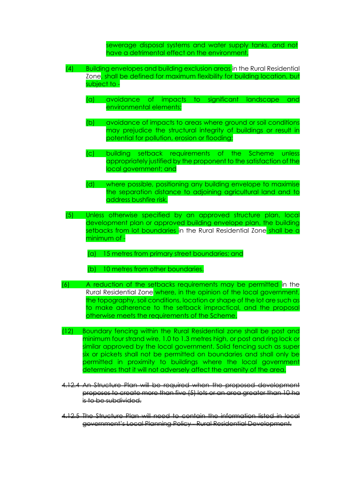sewerage disposal systems and water supply tanks, and not have a detrimental effect on the environment.

- (4) Building envelopes and building exclusion areas in the Rural Residential Zone, shall be defined for maximum flexibility for building location, but subject to -
	- (a) avoidance of impacts to significant landscape and environmental elements;
	- (b) avoidance of impacts to areas where ground or soil conditions may prejudice the structural integrity of buildings or result in potential for pollution, erosion or flooding;
	- (c) building setback requirements of the Scheme unless appropriately justified by the proponent to the satisfaction of the local government; and
	- (d) where possible, positioning any building envelope to maximise the separation distance to adjoining agricultural land and to address bushfire risk.
- (5) Unless otherwise specified by an approved structure plan, local development plan or approved building envelope plan, the building setbacks from lot boundaries in the Rural Residential Zone shall be a minimum of -
	- (a) 15 metres from primary street boundaries; and
	- (b) 10 metres from other boundaries.
- (6) A reduction of the setbacks requirements may be permitted in the Rural Residential Zone where, in the opinion of the local government, the topography, soil conditions, location or shape of the lot are such as to make adherence to the setback impractical, and the proposal otherwise meets the requirements of the Scheme.
- (12) Boundary fencing within the Rural Residential zone shall be post and minimum four strand wire, 1.0 to 1.3 metres high, or post and ring lock or similar approved by the local government. Solid fencing such as super six or pickets shall not be permitted on boundaries and shall only be permitted in proximity to buildings where the local government determines that it will not adversely affect the amenity of the area.
- 4.12.4 An Structure Plan will be required when the proposed development proposes to create more than five (5) lots or an area greater than 10 ha is to be subdivided.
- 4.12.5 The Structure Plan will need to contain the information listed in local government's Local Planning Policy - Rural Residential Development.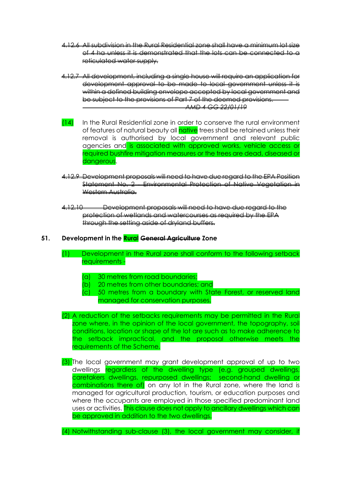- 4.12.6 All subdivision in the Rural Residential zone shall have a minimum lot size of 4 ha unless it is demonstrated that the lots can be connected to a reticulated water supply.
- 4.12.7 All development, including a single house will require an application for development approval to be made to local government unless it is within a defined building envelope accepted by local government and be subject to the provisions of Part 7 of the deemed provisions. *AMD 4 GG 22/01/19*
- (14) In the Rural Residential zone in order to conserve the rural environment of features of natural beauty all native trees shall be retained unless their removal is authorised by local government and relevant public agencies and is associated with approved works, vehicle access or required bushfire mitigation measures or the trees are dead, diseased or dangerous.
- 4.12.9 Development proposals will need to have due regard to the EPA Position Statement No. 2 Environmental Protection of Native Vegetation in Western Australia.
- 4.12.10 Development proposals will need to have due regard to the protection of wetlands and watercourses as required by the EPA through the setting aside of dryland buffers.

## **51. Development in the Rural General Agriculture Zone**

- (1) Development in the Rural zone shall conform to the following setback requirements -
	- (a) 30 metres from road boundaries;
	- (b) 20 metres from other boundaries; and
	- (c) 50 metres from a boundary with State Forest, or reserved land managed for conservation purposes.
- (2) A reduction of the setbacks requirements may be permitted in the Rural zone where, in the opinion of the local government, the topography, soil conditions, location or shape of the lot are such as to make adherence to the setback impractical, and the proposal otherwise meets the requirements of the Scheme.
- (3) The local government may grant development approval of up to two dwellings regardless of the dwelling type (e.g. grouped dwellings, caretakers dwellings, repurposed dwellings; second-hand dwelling or combinations there of) on any lot in the Rural zone, where the land is managed for agricultural production, tourism, or education purposes and where the occupants are employed in those specified predominant land uses or activities. This clause does not apply to ancillary dwellings which can be approved in addition to the two dwellings.

(4) Notwithstanding sub-clause (3), the local government may consider, if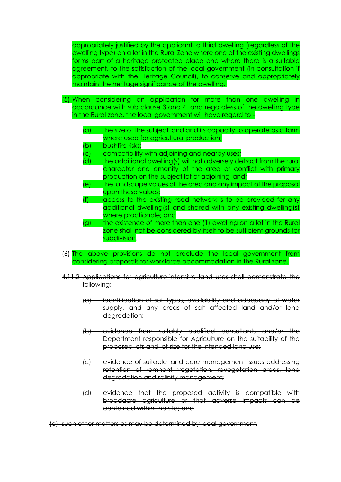appropriately justified by the applicant, a third dwelling (regardless of the dwelling type) on a lot in the Rural Zone where one of the existing dwellings forms part of a heritage protected place and where there is a suitable agreement, to the satisfaction of the local government (in consultation if appropriate with the Heritage Council), to conserve and appropriately maintain the heritage significance of the dwelling.

- (5) When considering an application for more than one dwelling in accordance with sub clause 3 and 4 and regardless of the dwelling type in the Rural zone, the local government will have regard to -
	- (a) the size of the subject land and its capacity to operate as a farm where used for agricultural production;
	- (b) bushfire risks;
	- (c) compatibility with adjoining and nearby uses;
	- (d) the additional dwelling(s) will not adversely detract from the rural character and amenity of the area or conflict with primary production on the subject lot or adjoining land;
	- (e) the landscape values of the area and any impact of the proposal upon these values;
	- (f) access to the existing road network is to be provided for any additional dwelling(s) and shared with any existing dwelling(s) where practicable; and
	- (g) the existence of more than one (1) dwelling on a lot in the Rural zone shall not be considered by itself to be sufficient grounds for subdivision.
- (6) The above provisions do not preclude the local government from considering proposals for workforce accommodation in the Rural zone.
- 4.11.2 Applications for agriculture-intensive land uses shall demonstrate the following:-
	- (a) identification of soil types, availability and adequacy of water supply, and any areas of salt affected land and/or land degradation;
	- (b) evidence from suitably qualified consultants and/or the Department responsible for Agriculture on the suitability of the proposed lots and lot size for the intended land use;
	- (c) evidence of suitable land care management issues addressing retention of remnant vegetation, revegetation areas, land degradation and salinity management;
	- $(d)$  evidence that the proposed activity is compatible broadacre agriculture or that adverse impacts contained within the site; and

(e) such other matters as may be determined by local government.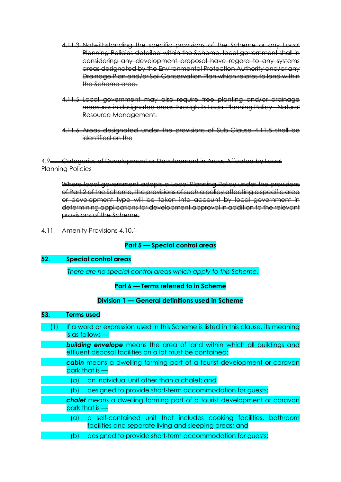- 4.11.3 Notwithstanding the specific provisions of the Scheme or any Local Planning Policies detailed within the Scheme, local government shall in considering any development proposal have regard to any systems areas designated by the Environmental Protection Authority and/or any Drainage Plan and/or Soil Conservation Plan which relates to land within the Scheme area.
- 4.11.5 Local government may also require tree planting and/or drainage measures in designated areas through its Local Planning Policy - Natural Resource Management.
- 4.11.6 Areas designated under the provisions of Sub-Clause 4.11.5 shall be identified on the

## 4.9 Categories of Development or Development in Areas Affected by Local Planning Policies

Where local government adopts a Local Planning Policy under the provisions of Part 2 of the Scheme, the provisions of such a policy affecting a specific area or development type will be taken into account by local government in determining applications for development approval in addition to the relevant provisions of the Scheme.

4.11 Amenity Provisions 4.10.1

# **Part 5 — Special control areas**

#### **52. Special control areas**

*There are no special control areas which apply to this Scheme.*

# **Part 6 — Terms referred to in Scheme**

# **Division 1 — General definitions used in Scheme**

#### **53. Terms used**

| If a word or expression used in this Scheme is listed in this clause, its meaning |
|-----------------------------------------------------------------------------------|
| $is$ as follows $-$                                                               |
| <b>building envelope</b> means the area of land within which all buildings and    |
| effluent disposal facilities on a lot must be contained;                          |
| cabin means a dwelling forming part of a tourist development or caravan           |
| park that is $-$                                                                  |
| an individual unit other than a chalet; and<br>'al                                |
| designed to provide short-term accommodation for guests;<br>'bl                   |
| chalet means a dwelling forming part of a tourist development or caravan          |
| park that is                                                                      |

- (a) a self-contained unit that includes cooking facilities, bathroom facilities and separate living and sleeping areas; and
- (b) designed to provide short-term accommodation for guests;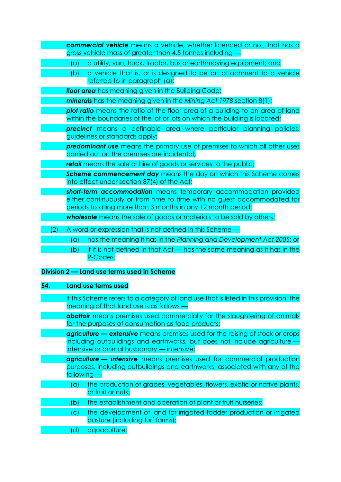| commercial vehicle means a vehicle, whether licenced or not, that has a<br>gross vehicle mass of greater than 4.5 tonnes including -                                                                       |
|------------------------------------------------------------------------------------------------------------------------------------------------------------------------------------------------------------|
| a utility, van, truck, tractor, bus or earthmoving equipment; and<br>(a)                                                                                                                                   |
| a vehicle that is, or is designed to be an attachment to a vehicle<br>(b)<br>referred to in paragraph (a);                                                                                                 |
| floor area has meaning given in the Building Code;                                                                                                                                                         |
| minerals has the meaning given in the Mining Act 1978 section 8(1);                                                                                                                                        |
| plot ratio means the ratio of the floor area of a building to an area of land<br>within the boundaries of the lot or lots on which the building is located;                                                |
| precinct means a definable area where particular planning policies,<br>guidelines or standards apply;                                                                                                      |
| predominant use means the primary use of premises to which all other uses<br>carried out on the premises are incidental;                                                                                   |
| <b>retail</b> means the sale or hire of goods or services to the public;                                                                                                                                   |
| Scheme commencement day means the day on which this Scheme comes<br>into effect under section 87(4) of the Act;                                                                                            |
| short-term accommodation means temporary accommodation provided<br>either continuously or from time to time with no guest accommodated for<br>periods totalling more than 3 months in any 12 month period; |
| <b>wholesale</b> means the sale of goods or materials to be sold by others.                                                                                                                                |
| A word or expression that is not defined in this Scheme<br>(2)                                                                                                                                             |
| has the meaning it has in the Planning and Development Act 2005; or<br>(a)                                                                                                                                 |
| if it is not defined in that Act — has the same meaning as it has in the<br>(b)<br>R-Codes.                                                                                                                |
| Division 2 – Land use terms used in Scheme                                                                                                                                                                 |

# **54. Land use terms used**

|     | If this Scheme refers to a category of land use that is listed in this provision, the<br>meaning of that land use is as follows -                                                                               |
|-----|-----------------------------------------------------------------------------------------------------------------------------------------------------------------------------------------------------------------|
|     | <b>abattoir</b> means premises used commercially for the slaughtering of animals<br>for the purposes of consumption as food products;                                                                           |
|     | <b>agriculture — extensive</b> means premises used for the raising of stock or crops<br>including outbuildings and earthworks, but does not include agriculture -<br>intensive or animal husbandry - intensive; |
|     | agriculture - intensive means premises used for commercial production<br>purposes, including outbuildings and earthworks, associated with any of the<br>following                                               |
| (a) | the production of grapes, vegetables, flowers, exotic or native plants,<br>or fruit or nuts;                                                                                                                    |
| (b  | the establishment and operation of plant or fruit nurseries;                                                                                                                                                    |
| (C) | the development of land for irrigated fodder production or irrigated<br>pasture (including turf farms);                                                                                                         |
| d   | aquaculture;                                                                                                                                                                                                    |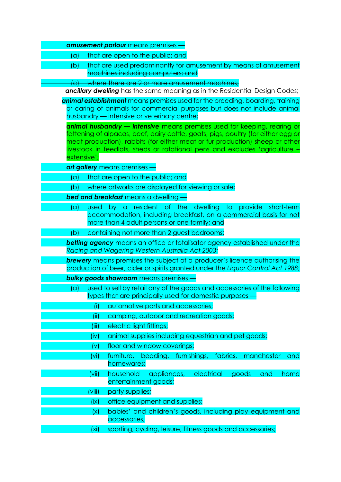|                   | <b>amusement parlour</b> means premises                                                                                                                   |
|-------------------|-----------------------------------------------------------------------------------------------------------------------------------------------------------|
| (a)               | that are open to the public; and                                                                                                                          |
| (b)               | that are used predominantly for amusement by means of amusement                                                                                           |
|                   | machines including computers; and                                                                                                                         |
| <del>(c)</del>    | where there are 2 or more amusement machines;                                                                                                             |
|                   | <b>ancillary dwelling</b> has the same meaning as in the Residential Design Codes;                                                                        |
|                   | animal establishment means premises used for the breeding, boarding, training<br>or caring of animals for commercial purposes but does not include animal |
|                   | husbandry - intensive or veterinary centre;                                                                                                               |
|                   | animal husbandry — intensive means premises used for keeping, rearing or                                                                                  |
|                   | fattening of alpacas, beef, dairy cattle, goats, pigs, poultry (for either egg or                                                                         |
|                   | meat production), rabbits (for either meat or fur production) sheep or other                                                                              |
| extensive':       | livestock in feedlots, sheds or rotational pens and excludes 'agriculture -                                                                               |
|                   | art gallery means premises                                                                                                                                |
| (a)               | that are open to the public; and                                                                                                                          |
| (b)               | where artworks are displayed for viewing or sale;                                                                                                         |
|                   | <b>bed and breakfast</b> means a dwelling                                                                                                                 |
| (a<br>used        | by a resident of the dwelling to provide<br>short-term                                                                                                    |
|                   | accommodation, including breakfast, on a commercial basis for not                                                                                         |
|                   | more than 4 adult persons or one family; and                                                                                                              |
| (b)               | containing not more than 2 guest bedrooms;                                                                                                                |
|                   | betting agency means an office or totalisator agency established under the                                                                                |
|                   | Racing and Wagering Western Australia Act 2003;                                                                                                           |
|                   | <b>brewery</b> means premises the subject of a producer's licence authorising the                                                                         |
|                   | production of beer, cider or spirits granted under the Liquor Control Act 1988;                                                                           |
|                   | <b>bulky goods showroom</b> means premises ·                                                                                                              |
| (a                | used to sell by retail any of the goods and accessories of the following<br>types that are principally used for domestic purposes -                       |
| (i)               | automotive parts and accessories;                                                                                                                         |
| (iii)             | camping, outdoor and recreation goods;                                                                                                                    |
| (iii)             | electric light fittings;                                                                                                                                  |
| (iv)              | animal supplies including equestrian and pet goods;                                                                                                       |
| (v)               | floor and window coverings;                                                                                                                               |
| (v <sub>i</sub> ) | furniture, bedding, furnishings, fabrics,<br>manchester<br>and                                                                                            |
|                   | homewares;                                                                                                                                                |
| (vii)             | household<br>electrical<br>appliances,<br>goods<br>and<br>home                                                                                            |
|                   | entertainment goods;                                                                                                                                      |
| (viii)            | party supplies;                                                                                                                                           |
| (ix)              | office equipment and supplies;                                                                                                                            |
| (x)               | babies' and children's goods, including play equipment and                                                                                                |
|                   | accessories;                                                                                                                                              |
| (xi)              | sporting, cycling, leisure, fitness goods and accessories;                                                                                                |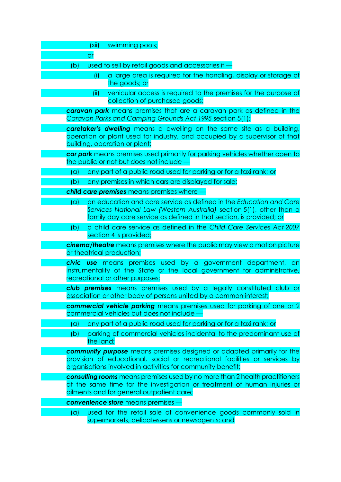| (xii)<br>swimming pools;                                                                                                                                                                                                 |
|--------------------------------------------------------------------------------------------------------------------------------------------------------------------------------------------------------------------------|
| <b>or</b>                                                                                                                                                                                                                |
| used to sell by retail goods and accessories if<br>(b)                                                                                                                                                                   |
| a large area is required for the handling, display or storage of<br>(i)<br>the goods; or                                                                                                                                 |
| vehicular access is required to the premises for the purpose of<br>(ii)<br>collection of purchased goods;                                                                                                                |
| <b>caravan park</b> means premises that are a caravan park as defined in the<br>Caravan Parks and Camping Grounds Act 1995 section 5(1);                                                                                 |
| caretaker's dwelling means a dwelling on the same site as a building,<br>operation or plant used for industry, and occupied by a supervisor of that<br>building, operation or plant;                                     |
| car park means premises used primarily for parking vehicles whether open to<br>the public or not but does not include -                                                                                                  |
| any part of a public road used for parking or for a taxi rank; or<br>(a)                                                                                                                                                 |
| any premises in which cars are displayed for sale;<br>(b)                                                                                                                                                                |
| child care premises means premises where                                                                                                                                                                                 |
| an education and care service as defined in the Education and Care<br>(a)<br>Services National Law (Western Australia) section 5(1), other than a<br>family day care service as defined in that section, is provided; or |
| a child care service as defined in the Child Care Services Act 2007<br>(b)                                                                                                                                               |
| section 4 is provided;                                                                                                                                                                                                   |
| <b>cinema/theatre</b> means premises where the public may view a motion picture<br>or theatrical production;                                                                                                             |
| <b>civic use</b> means premises used by a government department, an<br>instrumentality of the State or the local government for administrative,<br>recreational or other purposes;                                       |
| club premises means premises used by a legally constituted club or<br>association or other body of persons united by a common interest;                                                                                  |
| commercial vehicle parking means premises used for parking of one or 2                                                                                                                                                   |
| commercial vehicles but does not include -<br>any part of a public road used for parking or for a taxi rank; or<br>(a)                                                                                                   |
| parking of commercial vehicles incidental to the predominant use of<br>(b)                                                                                                                                               |
| the land;                                                                                                                                                                                                                |
| community purpose means premises designed or adapted primarily for the<br>provision of educational, social or recreational facilities or services by<br>organisations involved in activities for community benefit;      |
| consulting rooms means premises used by no more than 2 health practitioners<br>at the same time for the investigation or treatment of human injuries or<br>ailments and for general outpatient care;                     |
| <b>convenience store</b> means premises                                                                                                                                                                                  |
| used for the retail sale of convenience goods commonly sold in<br>(a)<br>supermarkets, delicatessens or newsagents; and                                                                                                  |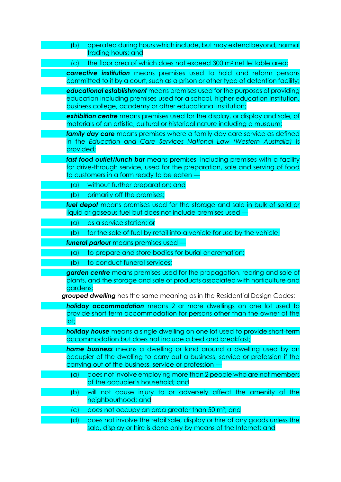| (b)       | operated during hours which include, but may extend beyond, normal<br>trading hours; and                                                                                                                                                 |
|-----------|------------------------------------------------------------------------------------------------------------------------------------------------------------------------------------------------------------------------------------------|
| (C)       | the floor area of which does not exceed 300 m <sup>2</sup> net lettable area;                                                                                                                                                            |
|           | corrective institution means premises used to hold and reform persons<br>committed to it by a court, such as a prison or other type of detention facility;                                                                               |
|           | educational establishment means premises used for the purposes of providing<br>education including premises used for a school, higher education institution,<br>business college, academy or other educational institution;              |
|           | exhibition centre means premises used for the display, or display and sale, of<br>materials of an artistic, cultural or historical nature including a museum;                                                                            |
| provided; | family day care means premises where a family day care service as defined<br>in the Education and Care Services National Law (Western Australia) is                                                                                      |
|           | fast food outlet/lunch bar means premises, including premises with a facility<br>for drive-through service, used for the preparation, sale and serving of food<br>to customers in a form ready to be eaten                               |
| (a)       | without further preparation; and                                                                                                                                                                                                         |
| (b)       | primarily off the premises;                                                                                                                                                                                                              |
|           | fuel depot means premises used for the storage and sale in bulk of solid or<br>liquid or gaseous fuel but does not include premises used                                                                                                 |
| (a)       | as a service station; or                                                                                                                                                                                                                 |
| (b)       | for the sale of fuel by retail into a vehicle for use by the vehicle;                                                                                                                                                                    |
|           | funeral parlour means premises used                                                                                                                                                                                                      |
| (a)       | to prepare and store bodies for burial or cremation;                                                                                                                                                                                     |
| (b)       | to conduct funeral services;                                                                                                                                                                                                             |
| gardens;  | garden centre means premises used for the propagation, rearing and sale of<br>plants, and the storage and sale of products associated with horticulture and<br>grouped dwelling has the same meaning as in the Residential Design Codes; |
| lot;      | <b>holiday accommodation</b> means 2 or more dwellings on one lot used to<br>provide short term accommodation for persons other than the owner of the                                                                                    |
|           | <b>holiday house</b> means a single dwelling on one lot used to provide short-term<br>accommodation but does not include a bed and breakfast;                                                                                            |
|           | home business means a dwelling or land around a dwelling used by an<br>occupier of the dwelling to carry out a business, service or profession if the<br>carrying out of the business, service or profession                             |
| (a)       | does not involve employing more than 2 people who are not members<br>of the occupier's household; and                                                                                                                                    |
| (b)       | will not cause injury to or adversely affect the amenity of the<br>neighbourhood; and                                                                                                                                                    |
| (C)       | does not occupy an area greater than 50 m <sup>2</sup> ; and                                                                                                                                                                             |
| (d)       | does not involve the retail sale, display or hire of any goods unless the<br>sale, display or hire is done only by means of the Internet; and                                                                                            |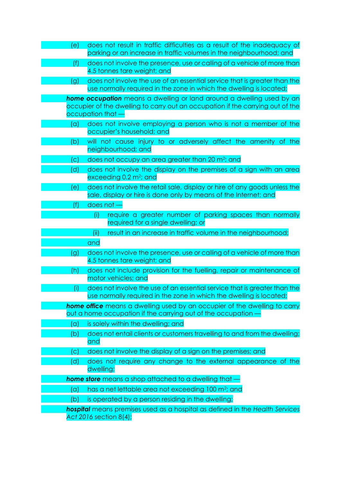| (e) | does not result in traffic difficulties as a result of the inadequacy of<br>parking or an increase in traffic volumes in the neighbourhood; and  |
|-----|--------------------------------------------------------------------------------------------------------------------------------------------------|
| (f) | does not involve the presence, use or calling of a vehicle of more than<br>4.5 tonnes tare weight; and                                           |
| (g) | does not involve the use of an essential service that is greater than the<br>use normally required in the zone in which the dwelling is located; |
|     | <b>home occupation</b> means a dwelling or land around a dwelling used by an                                                                     |
|     | occupier of the dwelling to carry out an occupation if the carrying out of the                                                                   |
|     | occupation that -                                                                                                                                |
| (a) | does not involve employing a person who is not a member of the<br>occupier's household; and                                                      |
| (b) | will not cause injury to or adversely affect the amenity of the<br>neighbourhood; and                                                            |
| (c) | does not occupy an area greater than 20 m <sup>2</sup> ; and                                                                                     |
| (d) | does not involve the display on the premises of a sign with an area<br>exceeding $0.2$ m <sup>2</sup> ; and                                      |
| (e) | does not involve the retail sale, display or hire of any goods unless the<br>sale, display or hire is done only by means of the Internet; and    |
| (f) | does not -                                                                                                                                       |
|     | require a greater number of parking spaces than normally<br>(i)                                                                                  |
|     | required for a single dwelling; or                                                                                                               |
|     | result in an increase in traffic volume in the neighbourhood;<br>(ii)                                                                            |
|     | and                                                                                                                                              |
| (g) | does not involve the presence, use or calling of a vehicle of more than                                                                          |
|     | 4.5 tonnes tare weight; and                                                                                                                      |
| (h) | does not include provision for the fuelling, repair or maintenance of<br>motor vehicles; and                                                     |
| (i) | does not involve the use of an essential service that is greater than the<br>use normally required in the zone in which the dwelling is located; |
|     | <b>home office</b> means a dwelling used by an occupier of the dwelling to carry                                                                 |
|     | out a home occupation if the carrying out of the occupation -                                                                                    |
| (a) | is solely within the dwelling; and                                                                                                               |
| (b) | does not entail clients or customers travelling to and from the dwelling;<br>and                                                                 |
| (c) | does not involve the display of a sign on the premises; and                                                                                      |
|     |                                                                                                                                                  |
| (d) | does not require any change to the external appearance of the<br>dwelling;                                                                       |
|     | <b>home store</b> means a shop attached to a dwelling that -                                                                                     |
| (a) | has a net lettable area not exceeding 100 m <sup>2</sup> ; and                                                                                   |
| (b) | is operated by a person residing in the dwelling;                                                                                                |
|     | hospital means premises used as a hospital as defined in the Health Services<br>Act 2016 section 8(4);                                           |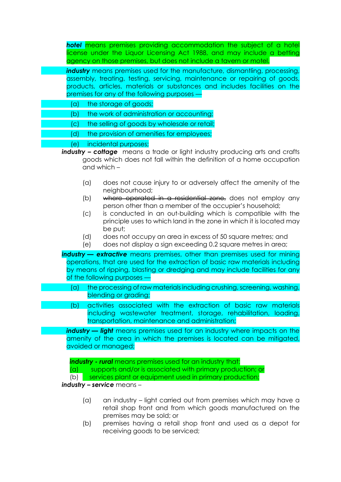*hotel* means premises providing accommodation the subject of a hotel license under the Liquor Licensing Act 1988, and may include a betting agency on those premises, but does not include a tavern or motel.

**industry** means premises used for the manufacture, dismantling, processing, assembly, treating, testing, servicing, maintenance or repairing of goods, products, articles, materials or substances and includes facilities on the premises for any of the following purposes —

- (a) the storage of goods;
- (b) the work of administration or accounting;
	- (c) the selling of goods by wholesale or retail;
	- (d) the provision of amenities for employees;

## (e) incidental purposes;

- *industry – cottage* means a trade or light industry producing arts and crafts goods which does not fall within the definition of a home occupation and which –
	- (a) does not cause injury to or adversely affect the amenity of the neighbourhood;
	- (b) where operated in a residential zone, does not employ any person other than a member of the occupier's household;
	- (c) is conducted in an out-building which is compatible with the principle uses to which land in the zone in which it is located may be put;
	- (d) does not occupy an area in excess of 50 square metres; and
	- (e) does not display a sign exceeding 0.2 square metres in area;

*industry — extractive* means premises, other than premises used for mining operations, that are used for the extraction of basic raw materials including by means of ripping, blasting or dredging and may include facilities for any of the following purposes —

- (a) the processing of raw materials including crushing, screening, washing, blending or grading;
- (b) activities associated with the extraction of basic raw materials including wastewater treatment, storage, rehabilitation, loading, transportation, maintenance and administration;

*industry — light* means premises used for an industry where impacts on the amenity of the area in which the premises is located can be mitigated, avoided or managed;

*industry - rural* means premises used for an industry that: (a) supports and/or is associated with primary production; or (b) services plant or equipment used in primary production;

#### *industry – service* means –

- (a) an industry light carried out from premises which may have a retail shop front and from which goods manufactured on the premises may be sold; or
- (b) premises having a retail shop front and used as a depot for receiving goods to be serviced;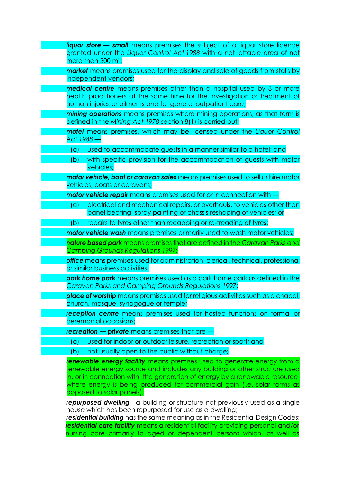| <b>liquor store — small</b> means premises the subject of a liquor store licence<br>granted under the Liquor Control Act 1988 with a net lettable area of not<br>more than 300 m <sup>2</sup> ;                                                                                                                                              |
|----------------------------------------------------------------------------------------------------------------------------------------------------------------------------------------------------------------------------------------------------------------------------------------------------------------------------------------------|
| <b>market</b> means premises used for the display and sale of goods from stalls by<br>independent vendors;                                                                                                                                                                                                                                   |
| <b>medical centre</b> means premises other than a hospital used by 3 or more<br>health practitioners at the same time for the investigation or treatment of<br>human injuries or ailments and for general outpatient care;                                                                                                                   |
| mining operations means premises where mining operations, as that term is<br>defined in the Mining Act 1978 section 8(1) is carried out;                                                                                                                                                                                                     |
| motel means premises, which may be licensed under the Liquor Control<br>Act 1988 -                                                                                                                                                                                                                                                           |
| used to accommodate guests in a manner similar to a hotel; and<br>(a)                                                                                                                                                                                                                                                                        |
| with specific provision for the accommodation of guests with motor<br>(b)<br>vehicles;                                                                                                                                                                                                                                                       |
| motor vehicle, boat or caravan sales means premises used to sell or hire motor<br>vehicles, boats or caravans;                                                                                                                                                                                                                               |
| <b>motor vehicle repair</b> means premises used for or in connection with                                                                                                                                                                                                                                                                    |
| electrical and mechanical repairs, or overhauls, to vehicles other than<br>(a)<br>panel beating, spray painting or chassis reshaping of vehicles; or                                                                                                                                                                                         |
| repairs to tyres other than recapping or re-treading of tyres;<br>(b)                                                                                                                                                                                                                                                                        |
| <b>motor vehicle wash</b> means premises primarily used to wash motor vehicles;                                                                                                                                                                                                                                                              |
| nature based park means premises that are defined in the Caravan Parks and<br><b>Camping Grounds Regulations 1997;</b>                                                                                                                                                                                                                       |
| office means premises used for administration, clerical, technical, professional<br>or similar business activities;                                                                                                                                                                                                                          |
| park home park means premises used as a park home park as defined in the<br><b>Caravan Parks and Camping Grounds Regulations 1997;</b>                                                                                                                                                                                                       |
| place of worship means premises used for religious activities such as a chapel,<br>church, mosque, synagogue or temple;                                                                                                                                                                                                                      |
| reception centre means premises used for hosted functions on formal or<br>ceremonial occasions;                                                                                                                                                                                                                                              |
| recreation - private means premises that are -                                                                                                                                                                                                                                                                                               |
| used for indoor or outdoor leisure, recreation or sport; and<br>(a)                                                                                                                                                                                                                                                                          |
| not usually open to the public without charge;<br>(b)                                                                                                                                                                                                                                                                                        |
| renewable energy facility means premises used to generate energy from a<br>renewable energy source and includes any building or other structure used<br>in, or in connection with, the generation of energy by a renewable resource,<br>where energy is being produced for commercial gain (i.e. solar farms as<br>opposed to solar panels); |
| repurposed dwelling - a building or structure not previously used as a single<br>house which has been repurposed for use as a dwelling;<br>roridantial building bas the same meaning as in the Posidential Design Codes:                                                                                                                     |

*residential building* has the same meaning as in the Residential Design Codes; *residential care facility* means a residential facility providing personal and/or nursing care primarily to aged or dependent persons which, as well as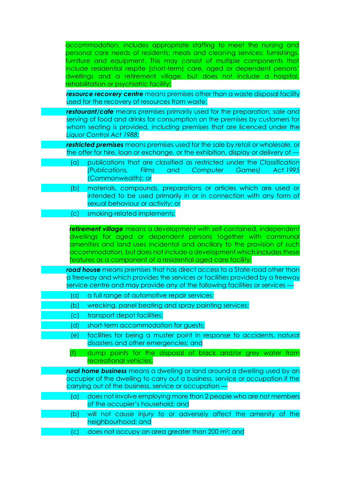| accommodation, includes appropriate staffing to meet the nursing and<br>personal care needs of residents; meals and cleaning services; furnishings,<br>furniture and equipment. This may consist of multiple components that<br>include residential respite (short-term) care, aged or dependent persons'<br>dwellings and a retirement village, but does not include a hospital,<br>rehabilitation or psychiatric facility; |
|------------------------------------------------------------------------------------------------------------------------------------------------------------------------------------------------------------------------------------------------------------------------------------------------------------------------------------------------------------------------------------------------------------------------------|
| resource recovery centre means premises other than a waste disposal facility<br>used for the recovery of resources from waste;                                                                                                                                                                                                                                                                                               |
| restaurant/cafe means premises primarily used for the preparation, sale and<br>serving of food and drinks for consumption on the premises by customers for<br>whom seating is provided, including premises that are licenced under the<br>Liquor Control Act 1988;                                                                                                                                                           |
| restricted premises means premises used for the sale by retail or wholesale, or<br>the offer for hire, loan or exchange, or the exhibition, display or delivery of -                                                                                                                                                                                                                                                         |
| publications that are classified as restricted under the Classification<br>(a)<br>(Publications,<br><b>Films</b><br>Computer<br>Games)<br>Act 1995<br>and<br>(Commonwealth); or                                                                                                                                                                                                                                              |
| materials, compounds, preparations or articles which are used or<br>(b)<br>intended to be used primarily in or in connection with any form of<br>sexual behaviour or activity; or                                                                                                                                                                                                                                            |
| smoking-related implements;<br>(c)                                                                                                                                                                                                                                                                                                                                                                                           |
| retirement village means a development with self-contained, independent<br>dwellings for aged or dependent persons together with communal<br>amenities and land uses incidental and ancillary to the provision of such<br>accommodation, but does not include a development which includes these<br>features as a component of a residential aged care facility;                                                             |
| road house means premises that has direct access to a State road other than<br>a freeway and which provides the services or facilities provided by a freeway<br>service centre and may provide any of the following facilities or services                                                                                                                                                                                   |
| (a) a full range of automotive repair services;                                                                                                                                                                                                                                                                                                                                                                              |
| wrecking, panel beating and spray painting services;<br>(b)                                                                                                                                                                                                                                                                                                                                                                  |
| transport depot facilities;<br>(c)                                                                                                                                                                                                                                                                                                                                                                                           |
| short-term accommodation for guests;<br>(d)<br>facilities for being a muster point in response to accidents, natural<br>(e)                                                                                                                                                                                                                                                                                                  |
| disasters and other emergencies; and                                                                                                                                                                                                                                                                                                                                                                                         |
| (f)<br>dump points for the disposal of black and/or grey water from<br>recreational vehicles.                                                                                                                                                                                                                                                                                                                                |
| rural home business means a dwelling or land around a dwelling used by an<br>occupier of the dwelling to carry out a business, service or occupation if the<br>carrying out of the business, service or occupation -                                                                                                                                                                                                         |
| does not involve employing more than 2 people who are not members<br>(a)<br>of the occupier's household; and                                                                                                                                                                                                                                                                                                                 |
| will not cause injury to or adversely affect the amenity of the<br>(b)<br>neighbourhood; and                                                                                                                                                                                                                                                                                                                                 |
| does not occupy an area greater than 200 m <sup>2</sup> ; and<br>(C)                                                                                                                                                                                                                                                                                                                                                         |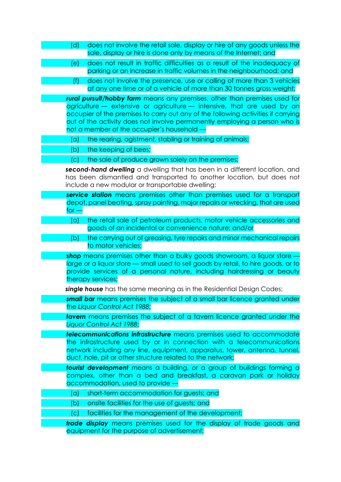| (d)                       | does not involve the retail sale, display or hire of any goods unless the<br>sale, display or hire is done only by means of the Internet; and                                                                                                                                                                                                                       |
|---------------------------|---------------------------------------------------------------------------------------------------------------------------------------------------------------------------------------------------------------------------------------------------------------------------------------------------------------------------------------------------------------------|
| (e)                       | does not result in traffic difficulties as a result of the inadequacy of<br>parking or an increase in traffic volumes in the neighbourhood; and                                                                                                                                                                                                                     |
| (f)                       | does not involve the presence, use or calling of more than 3 vehicles<br>at any one time or of a vehicle of more than 30 tonnes gross weight;                                                                                                                                                                                                                       |
|                           | rural pursuit/hobby farm means any premises, other than premises used for<br>agriculture - extensive or agriculture - intensive, that are used by an<br>occupier of the premises to carry out any of the following activities if carrying<br>out of the activity does not involve permanently employing a person who is<br>not a member of the occupier's household |
| (a)                       | the rearing, agistment, stabling or training of animals;                                                                                                                                                                                                                                                                                                            |
| (b)                       | the keeping of bees;                                                                                                                                                                                                                                                                                                                                                |
| $\mathcal{L}(\mathsf{C})$ | the sale of produce grown solely on the premises;                                                                                                                                                                                                                                                                                                                   |
|                           | second-hand dwelling a dwelling that has been in a different location, and<br>has been dismantled and transported to another location, but does not<br>include a new modular or transportable dwelling;                                                                                                                                                             |
| for –                     | service station means premises other than premises used for a transport<br>depot, panel beating, spray painting, major repairs or wrecking, that are used                                                                                                                                                                                                           |
| (a)                       | the retail sale of petroleum products, motor vehicle accessories and<br>goods of an incidental or convenience nature; and/or                                                                                                                                                                                                                                        |
| (b)                       | the carrying out of greasing, tyre repairs and minor mechanical repairs<br>to motor vehicles;                                                                                                                                                                                                                                                                       |
|                           | shop means premises other than a bulky goods showroom, a liquor store -<br>large or a liquor store — small used to sell goods by retail, to hire goods, or to<br>provide services of a personal nature, including hairdressing or beauty<br>therapy services;                                                                                                       |
|                           | single house has the same meaning as in the Residential Design Codes;                                                                                                                                                                                                                                                                                               |
|                           | <b>small bar</b> means premises the subject of a small bar licence granted under<br>the Liquor Control Act 1988;                                                                                                                                                                                                                                                    |
|                           | tavern means premises the subject of a tavern licence granted under the<br>Liquor Control Act 1988;                                                                                                                                                                                                                                                                 |
|                           | telecommunications infrastructure means premises used to accommodate<br>the infrastructure used by or in connection with a telecommunications<br>network including any line, equipment, apparatus, tower, antenna, tunnel,<br>duct, hole, pit or other structure related to the network;                                                                            |
|                           | <b>tourist development</b> means a building, or a group of buildings forming a<br>complex, other than a bed and breakfast, a caravan park or holiday<br>accommodation, used to provide                                                                                                                                                                              |
| (a)                       | short-term accommodation for guests; and                                                                                                                                                                                                                                                                                                                            |
| (b)                       | onsite facilities for the use of guests; and                                                                                                                                                                                                                                                                                                                        |
| $\mathcal{L}(\mathsf{C})$ | facilities for the management of the development;                                                                                                                                                                                                                                                                                                                   |
|                           | trade display means premises used for the display of trade goods and<br>equipment for the purpose of advertisement;                                                                                                                                                                                                                                                 |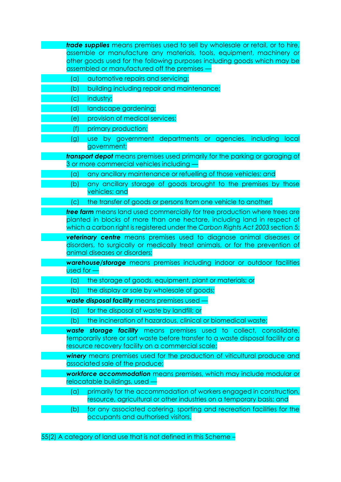|              | <b>trade supplies</b> means premises used to sell by wholesale or retail, or to hire,                                                  |
|--------------|----------------------------------------------------------------------------------------------------------------------------------------|
|              | assemble or manufacture any materials, tools, equipment, machinery or                                                                  |
|              | other goods used for the following purposes including goods which may be                                                               |
|              | assembled or manufactured off the premises -                                                                                           |
| (a)          | automotive repairs and servicing;                                                                                                      |
| (b)          | building including repair and maintenance;                                                                                             |
| (c)          | industry;                                                                                                                              |
| (d)          | landscape gardening;                                                                                                                   |
| (e)          | provision of medical services;                                                                                                         |
| (f)          | primary production;                                                                                                                    |
| (g)          | use by government departments or agencies, including<br>local<br>government;                                                           |
|              | <b>transport depot</b> means premises used primarily for the parking or garaging of                                                    |
|              | 3 or more commercial vehicles including                                                                                                |
| (a)          | any ancillary maintenance or refuelling of those vehicles; and                                                                         |
| (b)          | any ancillary storage of goods brought to the premises by those                                                                        |
|              | vehicles; and                                                                                                                          |
| (C)          | the transfer of goods or persons from one vehicle to another;                                                                          |
|              | tree farm means land used commercially for tree production where trees are                                                             |
|              | planted in blocks of more than one hectare, including land in respect of                                                               |
|              | which a carbon right is registered under the Carbon Rights Act 2003 section 5;                                                         |
|              |                                                                                                                                        |
|              | veterinary centre means premises used to diagnose animal diseases or                                                                   |
|              | disorders, to surgically or medically treat animals, or for the prevention of                                                          |
|              | animal diseases or disorders;                                                                                                          |
|              | warehouse/storage means premises including indoor or outdoor facilities                                                                |
| $used for -$ |                                                                                                                                        |
| (a)<br>(b)   | the storage of goods, equipment, plant or materials; or                                                                                |
|              | the display or sale by wholesale of goods;                                                                                             |
|              | waste disposal facility means premises used                                                                                            |
| (a)          | for the disposal of waste by landfill; or                                                                                              |
| (b)          | the incineration of hazardous, clinical or biomedical waste;                                                                           |
|              | waste storage facility means premises used to collect, consolidate,                                                                    |
|              | temporarily store or sort waste before transfer to a waste disposal facility or a<br>resource recovery facility on a commercial scale; |
|              | winery means premises used for the production of viticultural produce and                                                              |
|              | associated sale of the produce;                                                                                                        |
|              | workforce accommodation means premises, which may include modular or                                                                   |
|              | relocatable buildings, used                                                                                                            |
| (a)          | primarily for the accommodation of workers engaged in construction,                                                                    |
|              | resource, agricultural or other industries on a temporary basis; and                                                                   |
| (b)          | for any associated catering, sporting and recreation facilities for the<br>occupants and authorised visitors.                          |

55(2) A category of land use that is not defined in this Scheme –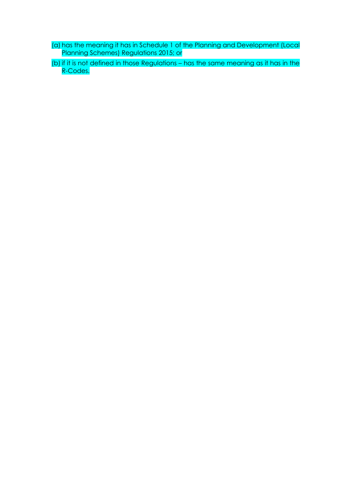- (a) has the meaning it has in Schedule 1 of the Planning and Development (Local Planning Schemes) Regulations 2015; or
- (b) if it is not defined in those Regulations has the same meaning as it has in the R-Codes.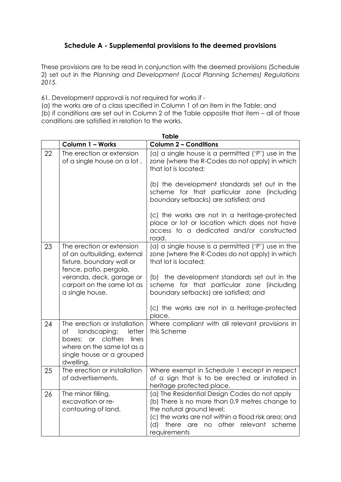# **Schedule A - Supplemental provisions to the deemed provisions**

These provisions are to be read in conjunction with the deemed provisions (Schedule 2) set out in the *Planning and Development (Local Planning Schemes) Regulations 2015.*

61. Development approval is not required for works if -

(a) the works are of a class specified in Column 1 of an item in the Table; and (b) if conditions are set out in Column 2 of the Table opposite that item – all of those conditions are satisfied in relation to the works.

|    | <b>Table</b>                                                                                                                                                    |                                                                                                                                                                                                                                                              |  |  |
|----|-----------------------------------------------------------------------------------------------------------------------------------------------------------------|--------------------------------------------------------------------------------------------------------------------------------------------------------------------------------------------------------------------------------------------------------------|--|--|
|    | Column 1 - Works                                                                                                                                                | <b>Column 2 - Conditions</b>                                                                                                                                                                                                                                 |  |  |
| 22 | The erection or extension<br>of a single house on a lot.                                                                                                        | (a) a single house is a permitted ( $'P'$ ) use in the<br>zone (where the R-Codes do not apply) in which<br>that lot is located;                                                                                                                             |  |  |
|    |                                                                                                                                                                 | (b) the development standards set out in the<br>scheme for that particular zone<br>(including)<br>boundary setbacks) are satisfied; and                                                                                                                      |  |  |
|    |                                                                                                                                                                 | (c) the works are not in a heritage-protected<br>place or lot or location which does not have<br>access to a dedicated and/or constructed<br>road.                                                                                                           |  |  |
| 23 | The erection or extension<br>of an outbuilding, external<br>fixture, boundary wall or<br>fence, patio, pergola,                                                 | (a) a single house is a permitted ('P') use in the<br>zone (where the R-Codes do not apply) in which<br>that lot is located;                                                                                                                                 |  |  |
|    | veranda, deck, garage or<br>carport on the same lot as<br>a single house.                                                                                       | (b) the development standards set out in the<br>scheme for that particular zone (including<br>boundary setbacks) are satisfied; and                                                                                                                          |  |  |
|    |                                                                                                                                                                 | (c) the works are not in a heritage-protected<br>place.                                                                                                                                                                                                      |  |  |
| 24 | The erection or installation<br>landscaping; letter<br>of<br>boxes; or clothes<br>lines<br>where on the same lot as a<br>single house or a grouped<br>dwelling. | Where compliant with all relevant provisions in<br>this Scheme                                                                                                                                                                                               |  |  |
| 25 | The erection or installation<br>of advertisements.                                                                                                              | Where exempt in Schedule 1 except in respect<br>of a sign that is to be erected or installed in<br>heritage protected place.                                                                                                                                 |  |  |
| 26 | The minor filling,<br>excavation or re-<br>contouring of land.                                                                                                  | (a) The Residential Design Codes do not apply<br>(b) There is no more than 0.9 metres change to<br>the natural ground level;<br>(c) the works are not within a flood risk area; and<br>other<br>relevant<br>(d)<br>there are<br>no<br>scheme<br>requirements |  |  |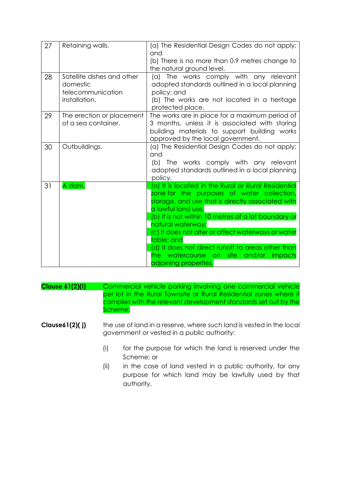| 27 | Retaining walls.                                                             | (a) The Residential Design Codes do not apply;<br>and<br>(b) There is no more than 0.9 metres change to<br>the natural ground level.                                                                                                                                                                                                                                                                                                                       |
|----|------------------------------------------------------------------------------|------------------------------------------------------------------------------------------------------------------------------------------------------------------------------------------------------------------------------------------------------------------------------------------------------------------------------------------------------------------------------------------------------------------------------------------------------------|
| 28 | Satellite dishes and other<br>domestic<br>telecommunication<br>installation. | (a) The works comply with any relevant<br>adopted standards outlined in a local planning<br>policy; and<br>(b) The works are not located in a heritage<br>protected place.                                                                                                                                                                                                                                                                                 |
| 29 | The erection or placement<br>of a sea container.                             | The works are in place for a maximum period of<br>3 months, unless it is associated with storing<br>building materials to support building works<br>approved by the local government.                                                                                                                                                                                                                                                                      |
| 30 | Outbuildings.                                                                | (a) The Residential Design Codes do not apply;<br>and<br>(b) The works comply with any relevant<br>adopted standards outlined in a local planning<br>policy.                                                                                                                                                                                                                                                                                               |
| 31 | A dam.                                                                       | (a) It is located in the Rural or Rural Residential<br>zone for the purposes of water collection,<br>storage, and use that is directly associated with<br>a lawful land use,<br>(b) It is not within 10 metres of a lot boundary or<br>natural waterway;<br>(c) It does not alter or affect waterways or water<br>table; and<br>(d) It does not direct runoff to areas other than<br>the watercourse on site<br>and/or<br>impacts<br>adjoining properties. |

| <b>Clause 61(2)(i)</b> |      | Commercial vehicle parking involving one commercial vehicle<br>per lot in the Rural Townsite or Rural Residential zones where it<br>complies with the relevant development standards set out by the<br>Scheme; |
|------------------------|------|----------------------------------------------------------------------------------------------------------------------------------------------------------------------------------------------------------------|
| Clause $61(2)$ (j)     |      | the use of land in a reserve, where such land is vested in the local<br>government or vested in a public authority:                                                                                            |
|                        | (i)  | for the purpose for which the land is reserved under the<br>Scheme; or                                                                                                                                         |
|                        | 70 L | in the case of land vested in a public quitbority for any                                                                                                                                                      |

(ii) in the case of land vested in a public authority, for any purpose for which land may be lawfully used by that authority.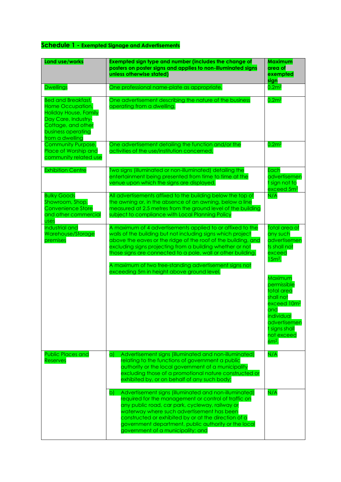# **Schedule 1 - Exempted Signage and Advertisements**

| <b>Land use/works</b>                                                                                                                                               | Exempted sign type and number (includes the change of<br>posters on poster signs and applies to non-illuminated signs<br>unless otherwise stated)                                                                                                                                                                                                                                                                               | <b>Maximum</b><br>area of<br>exempted<br>sign                                                                                                               |
|---------------------------------------------------------------------------------------------------------------------------------------------------------------------|---------------------------------------------------------------------------------------------------------------------------------------------------------------------------------------------------------------------------------------------------------------------------------------------------------------------------------------------------------------------------------------------------------------------------------|-------------------------------------------------------------------------------------------------------------------------------------------------------------|
| <b>Dwellings</b>                                                                                                                                                    | One professional name-plate as appropriate.                                                                                                                                                                                                                                                                                                                                                                                     | 0.2 <sup>2</sup>                                                                                                                                            |
| <b>Bed and Breakfast,</b><br>Home Occupation,<br><b>Holiday House, Family</b><br>Day Care, Industry-<br>Cottage, and other<br>business operating<br>from a dwelling | One advertisement describing the nature of the business<br>operating from a dwelling.                                                                                                                                                                                                                                                                                                                                           | 0.2 <sup>m2</sup>                                                                                                                                           |
| Community Purpose,<br>Place of Worship and<br>community related use                                                                                                 | One advertisement detailing the function and/or the<br>activities of the use/institution concerned.                                                                                                                                                                                                                                                                                                                             | 0.2 <sup>2</sup>                                                                                                                                            |
| <b>Exhibition Centre</b>                                                                                                                                            | Two signs (illuminated or non-illuminated) detailing the<br>entertainment being presented from time to time at the<br>venue upon which the signs are displayed.                                                                                                                                                                                                                                                                 | Each<br>advertisemen<br>t sign not to<br>exceed 5m <sup>2</sup>                                                                                             |
| <b>Bulky Goods</b><br>Showroom, Shop,<br><b>Convenience Store</b><br>and other commercial<br><b>USes</b>                                                            | All advertisements affixed to the building below the top of<br>the awning or, in the absence of an awning, below a line<br>measured at 2.5 metres from the ground level of the building<br>subject to compliance with Local Planning Policy                                                                                                                                                                                     | N/A                                                                                                                                                         |
| Industrial and<br>Warehouse/Storage<br>premises                                                                                                                     | A maximum of 4 advertisements applied to or affixed to the<br>walls of the building but not including signs which project<br>above the eaves or the ridge of the roof of the building, and<br>excluding signs projecting from a building whether or not<br>those signs are connected to a pole, wall or other building.<br>A maximum of two free-standing advertisement signs not<br>exceeding 5m in height above ground level. | Total area of<br>any such<br>advertisemen<br>ts shall not<br>exceed<br>$15m2$ .                                                                             |
|                                                                                                                                                                     |                                                                                                                                                                                                                                                                                                                                                                                                                                 | Maximum<br>permissible<br>total area<br>shall not<br>exceed 10m <sup>2</sup><br>and<br>individual<br>advertisemen<br>t signs shall<br>not exceed<br>$6m2$ . |
| <b>Public Places and</b><br><b>Reserves</b>                                                                                                                         | Advertisement signs (illuminated and non-illuminated)<br>a)<br>relating to the functions of government a public<br>authority or the local government of a municipality<br>excluding those of a promotional nature constructed or<br>exhibited by, or on behalf of any such body;                                                                                                                                                | N/A                                                                                                                                                         |
|                                                                                                                                                                     | Advertisement signs (illuminated and non-illuminated)<br>b)<br>required for the management or control of traffic on<br>any public road, car park, cycleway, railway or<br>waterway where such advertisement has been<br>constructed or exhibited by or at the direction of a<br>government department, public authority or the local<br>government of a municipality; and                                                       | N/A                                                                                                                                                         |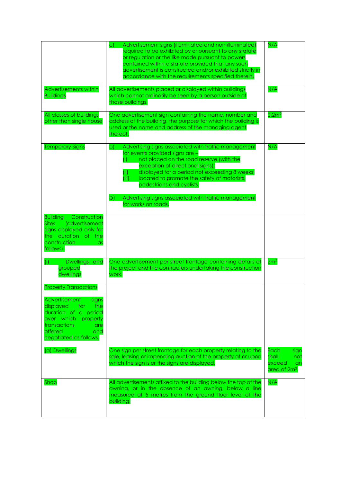|                                                                                                                                                                                                               | Advertisement signs (illuminated and non-illuminated)<br>$\mathsf{C}$<br>required to be exhibited by or pursuant to any statute<br>or regulation or the like made pursuant to powers<br>contained within a statute provided that any such<br>advertisement is constructed and/or exhibited strictly in<br>accordance with the requirements specified therein.                                                           | N/A                                                                       |
|---------------------------------------------------------------------------------------------------------------------------------------------------------------------------------------------------------------|-------------------------------------------------------------------------------------------------------------------------------------------------------------------------------------------------------------------------------------------------------------------------------------------------------------------------------------------------------------------------------------------------------------------------|---------------------------------------------------------------------------|
| <b>Advertisements within</b><br><b>Buildings</b>                                                                                                                                                              | All advertisements placed or displayed within buildings<br>which cannot ordinarily be seen by a person outside of<br>those buildings.                                                                                                                                                                                                                                                                                   | N/A                                                                       |
| All classes of buildings<br>other than single house                                                                                                                                                           | One advertisement sign containing the name, number and<br>address of the building, the purpose for which the building is<br>used or the name and address of the managing agent<br>thereof.                                                                                                                                                                                                                              | 0.2 <sup>2</sup>                                                          |
| <b>Temporary Signs</b>                                                                                                                                                                                        | Advertising signs associated with traffic management<br>b)<br>for events provided signs are -<br>not placed on the road reserve (with the<br>(i)<br>exception of directional signs);<br>displayed for a period not exceeding 8 weeks;<br>(ii)<br>(iii)<br>located to promote the safety of motorists,<br>pedestrians and cyclists.<br>b)<br>Advertising signs associated with traffic management<br>for works on roads. | N/A                                                                       |
| Construction<br><b>Building</b><br>Sites<br>(advertisement<br>signs displayed only for<br>the duration of the<br>construction<br>$\alpha$ s<br>follows):                                                      |                                                                                                                                                                                                                                                                                                                                                                                                                         |                                                                           |
| Dwellings and<br>(i)<br>grouped<br>dwellings                                                                                                                                                                  | One advertisement per street frontage containing details of<br>the project and the contractors undertaking the construction<br>work.                                                                                                                                                                                                                                                                                    | 2m <sup>2</sup>                                                           |
| <b>Property Transactions</b><br>Advertisement<br>signs<br>the<br>displayed<br>for<br>duration of a period<br>over which<br>property<br>transactions<br>are<br><b>offered</b><br>and<br>negotiated as follows. |                                                                                                                                                                                                                                                                                                                                                                                                                         |                                                                           |
| (a) Dwellings                                                                                                                                                                                                 | One sign per street frontage for each property relating to the<br>sale, leasing or impending auction of the property at or upon<br>which the sign is or the signs are displayed.                                                                                                                                                                                                                                        | Each<br>sign<br>shall<br>not<br>exceed<br>an<br>area of 2m <sup>2</sup> . |
| Shop                                                                                                                                                                                                          | All advertisements affixed to the building below the top of the<br>awning, or in the absence of an awning, below a line<br>measured at 5 metres from the ground floor level of the<br>building.                                                                                                                                                                                                                         | N/A                                                                       |